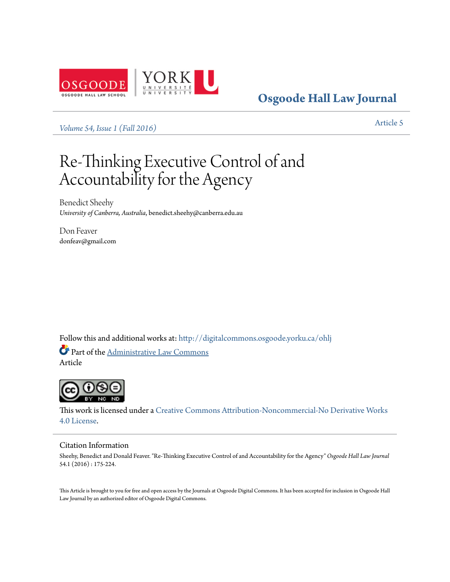

**[Osgoode Hall Law Journal](http://digitalcommons.osgoode.yorku.ca/ohlj?utm_source=digitalcommons.osgoode.yorku.ca%2Fohlj%2Fvol54%2Fiss1%2F5&utm_medium=PDF&utm_campaign=PDFCoverPages)**

*[Volume 54, Issue 1 \(Fall 2016\)](http://digitalcommons.osgoode.yorku.ca/ohlj/vol54/iss1?utm_source=digitalcommons.osgoode.yorku.ca%2Fohlj%2Fvol54%2Fiss1%2F5&utm_medium=PDF&utm_campaign=PDFCoverPages)* [Article 5](http://digitalcommons.osgoode.yorku.ca/ohlj/vol54/iss1/5?utm_source=digitalcommons.osgoode.yorku.ca%2Fohlj%2Fvol54%2Fiss1%2F5&utm_medium=PDF&utm_campaign=PDFCoverPages)

# Re-Thinking Executive Control of and Accountability for the Agency

Benedict Sheehy *University of Canberra, Australia*, benedict.sheehy@canberra.edu.au

Don Feaver donfeav@gmail.com

Follow this and additional works at: [http://digitalcommons.osgoode.yorku.ca/ohlj](http://digitalcommons.osgoode.yorku.ca/ohlj?utm_source=digitalcommons.osgoode.yorku.ca%2Fohlj%2Fvol54%2Fiss1%2F5&utm_medium=PDF&utm_campaign=PDFCoverPages) Part of the [Administrative Law Commons](http://network.bepress.com/hgg/discipline/579?utm_source=digitalcommons.osgoode.yorku.ca%2Fohlj%2Fvol54%2Fiss1%2F5&utm_medium=PDF&utm_campaign=PDFCoverPages) Article



This work is licensed under a [Creative Commons Attribution-Noncommercial-No Derivative Works](http://creativecommons.org/licenses/by-nc-nd/4.0/) [4.0 License.](http://creativecommons.org/licenses/by-nc-nd/4.0/)

# Citation Information

Sheehy, Benedict and Donald Feaver. "Re-Thinking Executive Control of and Accountability for the Agency" *Osgoode Hall Law Journal* 54.1 (2016) : 175-224.

This Article is brought to you for free and open access by the Journals at Osgoode Digital Commons. It has been accepted for inclusion in Osgoode Hall Law Journal by an authorized editor of Osgoode Digital Commons.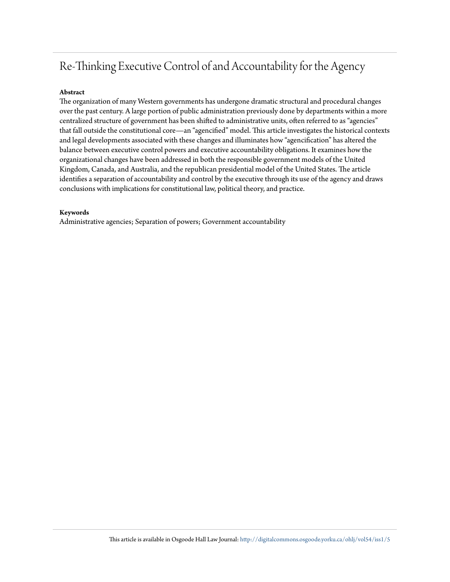# Re-Thinking Executive Control of and Accountability for the Agency

# **Abstract**

The organization of many Western governments has undergone dramatic structural and procedural changes over the past century. A large portion of public administration previously done by departments within a more centralized structure of government has been shifted to administrative units, often referred to as "agencies" that fall outside the constitutional core—an "agencified" model. This article investigates the historical contexts and legal developments associated with these changes and illuminates how "agencification" has altered the balance between executive control powers and executive accountability obligations. It examines how the organizational changes have been addressed in both the responsible government models of the United Kingdom, Canada, and Australia, and the republican presidential model of the United States. The article identifies a separation of accountability and control by the executive through its use of the agency and draws conclusions with implications for constitutional law, political theory, and practice.

# **Keywords**

Administrative agencies; Separation of powers; Government accountability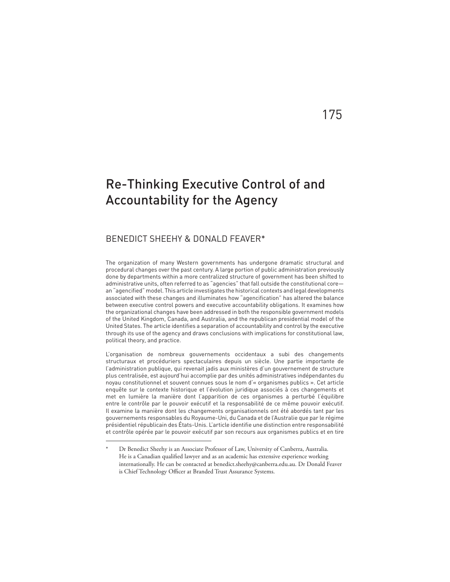# Re-Thinking Executive Control of and Accountability for the Agency

# BENEDICT SHEEHY & DONALD FEAVER\*

The organization of many Western governments has undergone dramatic structural and procedural changes over the past century. A large portion of public administration previously done by departments within a more centralized structure of government has been shifted to administrative units, often referred to as "agencies" that fall outside the constitutional core an "agencified" model. This article investigates the historical contexts and legal developments associated with these changes and illuminates how "agencification" has altered the balance between executive control powers and executive accountability obligations. It examines how the organizational changes have been addressed in both the responsible government models of the United Kingdom, Canada, and Australia, and the republican presidential model of the United States. The article identifies a separation of accountability and control by the executive through its use of the agency and draws conclusions with implications for constitutional law, political theory, and practice.

L'organisation de nombreux gouvernements occidentaux a subi des changements structuraux et procéduriers spectaculaires depuis un siècle. Une partie importante de l'administration publique, qui revenait jadis aux ministères d'un gouvernement de structure plus centralisée, est aujourd'hui accomplie par des unités administratives indépendantes du noyau constitutionnel et souvent connues sous le nom d'« organismes publics ». Cet article enquête sur le contexte historique et l'évolution juridique associés à ces changements et met en lumière la manière dont l'apparition de ces organismes a perturbé l'équilibre entre le contrôle par le pouvoir exécutif et la responsabilité de ce même pouvoir exécutif. Il examine la manière dont les changements organisationnels ont été abordés tant par les gouvernements responsables du Royaume-Uni, du Canada et de l'Australie que par le régime présidentiel républicain des États-Unis. L'article identifie une distinction entre responsabilité et contrôle opérée par le pouvoir exécutif par son recours aux organismes publics et en tire

175

Dr Benedict Sheehy is an Associate Professor of Law, University of Canberra, Australia. He is a Canadian qualified lawyer and as an academic has extensive experience working internationally. He can be contacted at benedict.sheehy@canberra.edu.au. Dr Donald Feaver is Chief Technology Officer at Branded Trust Assurance Systems.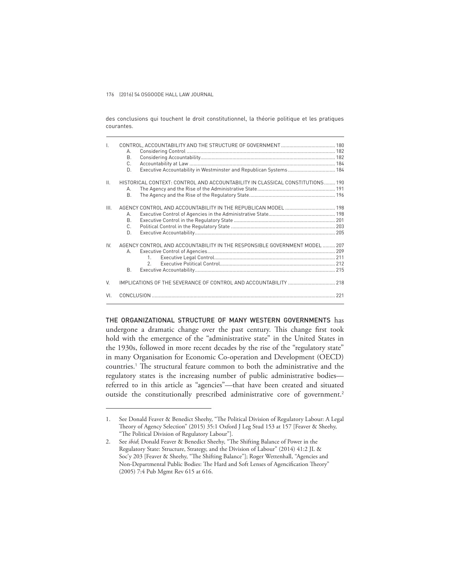des conclusions qui touchent le droit constitutionnel, la théorie politique et les pratiques courantes.

| $\mathsf{L}$    | А.<br>Β.<br>C.<br>D.                                                                                                 |  |
|-----------------|----------------------------------------------------------------------------------------------------------------------|--|
| $\mathbf{II}$ . | HISTORICAL CONTEXT: CONTROL AND ACCOUNTABILITY IN CLASSICAL CONSTITUTIONS 190<br>А.<br><b>B.</b>                     |  |
| III.            | А.<br><b>B.</b><br>C.<br>D.                                                                                          |  |
| IV.             | AGENCY CONTROL AND ACCOUNTABILITY IN THE RESPONSIBLE GOVERNMENT MODEL  207<br>$\Delta$<br>$\mathcal{P}$<br><b>B.</b> |  |
| V.              | IMPLICATIONS OF THE SEVERANCE OF CONTROL AND ACCOUNTABILITY  218                                                     |  |
| VI.             |                                                                                                                      |  |

THE ORGANIZATIONAL STRUCTURE OF MANY WESTERN GOVERNMENTS has undergone a dramatic change over the past century. This change first took hold with the emergence of the "administrative state" in the United States in the 1930s, followed in more recent decades by the rise of the "regulatory state" in many Organisation for Economic Co-operation and Development (OECD) countries.<sup>1</sup> The structural feature common to both the administrative and the regulatory states is the increasing number of public administrative bodies referred to in this article as "agencies"—that have been created and situated outside the constitutionally prescribed administrative core of government.<sup>2</sup>

<sup>1.</sup> See Donald Feaver & Benedict Sheehy, "The Political Division of Regulatory Labour: A Legal Theory of Agency Selection" (2015) 35:1 Oxford J Leg Stud 153 at 157 [Feaver & Sheehy, "The Political Division of Regulatory Labour"].

<sup>2.</sup> See *ibid*; Donald Feaver & Benedict Sheehy, "The Shifting Balance of Power in the Regulatory State: Structure, Strategy, and the Division of Labour" (2014) 41:2 JL & Soc'y 203 [Feaver & Sheehy, "The Shifting Balance"]; Roger Wettenhall, "Agencies and Non-Departmental Public Bodies: The Hard and Soft Lenses of Agencification Theory" (2005) 7:4 Pub Mgmt Rev 615 at 616.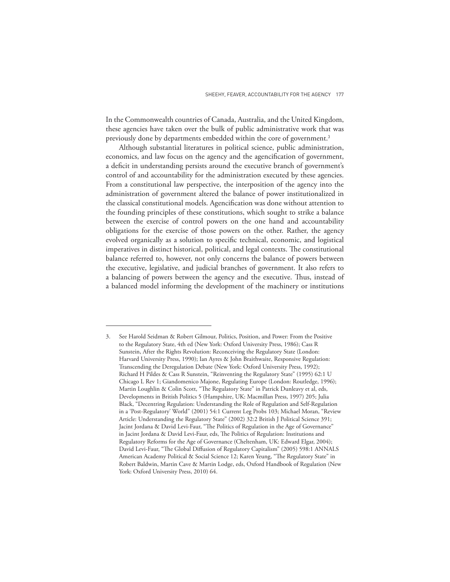In the Commonwealth countries of Canada, Australia, and the United Kingdom, these agencies have taken over the bulk of public administrative work that was previously done by departments embedded within the core of government.<sup>3</sup>

Although substantial literatures in political science, public administration, economics, and law focus on the agency and the agencification of government, a deficit in understanding persists around the executive branch of government's control of and accountability for the administration executed by these agencies. From a constitutional law perspective, the interposition of the agency into the administration of government altered the balance of power institutionalized in the classical constitutional models. Agencification was done without attention to the founding principles of these constitutions, which sought to strike a balance between the exercise of control powers on the one hand and accountability obligations for the exercise of those powers on the other. Rather, the agency evolved organically as a solution to specific technical, economic, and logistical imperatives in distinct historical, political, and legal contexts. The constitutional balance referred to, however, not only concerns the balance of powers between the executive, legislative, and judicial branches of government. It also refers to a balancing of powers between the agency and the executive. Thus, instead of a balanced model informing the development of the machinery or institutions

<sup>3.</sup> See Harold Seidman & Robert Gilmour, Politics, Position, and Power: From the Positive to the Regulatory State, 4th ed (New York: Oxford University Press, 1986); Cass R Sunstein, After the Rights Revolution: Reconceiving the Regulatory State (London: Harvard University Press, 1990); Ian Ayres & John Braithwaite, Responsive Regulation: Transcending the Deregulation Debate (New York: Oxford University Press, 1992); Richard H Pildes & Cass R Sunstein, "Reinventing the Regulatory State" (1995) 62:1 U Chicago L Rev 1; Giandomenico Majone, Regulating Europe (London: Routledge, 1996); Martin Loughlin & Colin Scott, "The Regulatory State" in Patrick Dunleavy et al, eds, Developments in British Politics 5 (Hampshire, UK: Macmillan Press, 1997) 205; Julia Black, "Decentring Regulation: Understanding the Role of Regulation and Self-Regulation in a 'Post-Regulatory' World" (2001) 54:1 Current Leg Probs 103; Michael Moran, "Review Article: Understanding the Regulatory State" (2002) 32:2 British J Political Science 391; Jacint Jordana & David Levi-Faur, "The Politics of Regulation in the Age of Governance" in Jacint Jordana & David Levi-Faur, eds, The Politics of Regulation: Institutions and Regulatory Reforms for the Age of Governance (Cheltenham, UK: Edward Elgar, 2004); David Levi-Faur, "The Global Diffusion of Regulatory Capitalism" (2005) 598:1 ANNALS American Academy Political & Social Science 12; Karen Yeung, "The Regulatory State" in Robert Baldwin, Martin Cave & Martin Lodge, eds, Oxford Handbook of Regulation (New York: Oxford University Press, 2010) 64.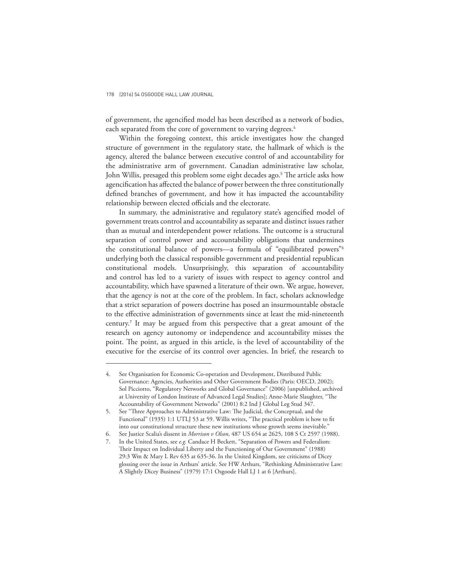of government, the agencified model has been described as a network of bodies, each separated from the core of government to varying degrees.<sup>4</sup>

Within the foregoing context, this article investigates how the changed structure of government in the regulatory state, the hallmark of which is the agency, altered the balance between executive control of and accountability for the administrative arm of government. Canadian administrative law scholar, John Willis, presaged this problem some eight decades ago.<sup>5</sup> The article asks how agencification has affected the balance of power between the three constitutionally defined branches of government, and how it has impacted the accountability relationship between elected officials and the electorate.

In summary, the administrative and regulatory state's agencified model of government treats control and accountability as separate and distinct issues rather than as mutual and interdependent power relations. The outcome is a structural separation of control power and accountability obligations that undermines the constitutional balance of powers—a formula of "equilibrated powers"<sup>6</sup> underlying both the classical responsible government and presidential republican constitutional models. Unsurprisingly, this separation of accountability and control has led to a variety of issues with respect to agency control and accountability, which have spawned a literature of their own. We argue, however, that the agency is not at the core of the problem. In fact, scholars acknowledge that a strict separation of powers doctrine has posed an insurmountable obstacle to the effective administration of governments since at least the mid-nineteenth century.<sup>7</sup> It may be argued from this perspective that a great amount of the research on agency autonomy or independence and accountability misses the point. The point, as argued in this article, is the level of accountability of the executive for the exercise of its control over agencies. In brief, the research to

<sup>4.</sup> See Organisation for Economic Co-operation and Development, Distributed Public Governance: Agencies, Authorities and Other Government Bodies (Paris: OECD, 2002); Sol Picciotto, "Regulatory Networks and Global Governance" (2006) [unpublished, archived at University of London Institute of Advanced Legal Studies]; Anne-Marie Slaughter, "The Accountability of Government Networks" (2001) 8:2 Ind J Global Leg Stud 347.

<sup>5.</sup> See "Three Approaches to Administrative Law: The Judicial, the Conceptual, and the Functional" (1935) 1:1 UTLJ 53 at 59. Willis writes, "The practical problem is how to fit into our constitutional structure these new institutions whose growth seems inevitable."

<sup>6.</sup> See Justice Scalia's dissent in *Morrison v Olson*, 487 US 654 at 2625, 108 S Ct 2597 (1988).

<sup>7.</sup> In the United States, see *e.g.* Candace H Beckett, "Separation of Powers and Federalism: Their Impact on Individual Liberty and the Functioning of Our Government" (1988) 29:3 Wm & Mary L Rev 635 at 635-36. In the United Kingdom, see criticisms of Dicey glossing over the issue in Arthurs' article. See HW Arthurs, "Rethinking Administrative Law: A Slightly Dicey Business" (1979) 17:1 Osgoode Hall LJ 1 at 6 [Arthurs].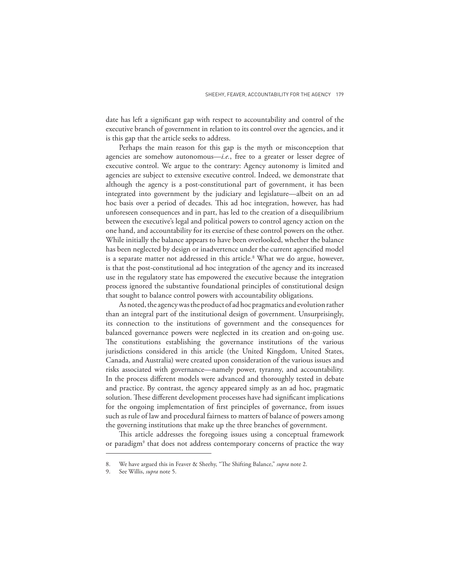date has left a significant gap with respect to accountability and control of the executive branch of government in relation to its control over the agencies, and it is this gap that the article seeks to address.

Perhaps the main reason for this gap is the myth or misconception that agencies are somehow autonomous—*i.e.*, free to a greater or lesser degree of executive control. We argue to the contrary: Agency autonomy is limited and agencies are subject to extensive executive control. Indeed, we demonstrate that although the agency is a post-constitutional part of government, it has been integrated into government by the judiciary and legislature—albeit on an ad hoc basis over a period of decades. This ad hoc integration, however, has had unforeseen consequences and in part, has led to the creation of a disequilibrium between the executive's legal and political powers to control agency action on the one hand, and accountability for its exercise of these control powers on the other. While initially the balance appears to have been overlooked, whether the balance has been neglected by design or inadvertence under the current agencified model is a separate matter not addressed in this article.<sup>8</sup> What we do argue, however, is that the post-constitutional ad hoc integration of the agency and its increased use in the regulatory state has empowered the executive because the integration process ignored the substantive foundational principles of constitutional design that sought to balance control powers with accountability obligations.

As noted, the agency was the product of ad hoc pragmatics and evolution rather than an integral part of the institutional design of government. Unsurprisingly, its connection to the institutions of government and the consequences for balanced governance powers were neglected in its creation and on-going use. The constitutions establishing the governance institutions of the various jurisdictions considered in this article (the United Kingdom, United States, Canada, and Australia) were created upon consideration of the various issues and risks associated with governance—namely power, tyranny, and accountability. In the process different models were advanced and thoroughly tested in debate and practice. By contrast, the agency appeared simply as an ad hoc, pragmatic solution. These different development processes have had significant implications for the ongoing implementation of first principles of governance, from issues such as rule of law and procedural fairness to matters of balance of powers among the governing institutions that make up the three branches of government.

This article addresses the foregoing issues using a conceptual framework or paradigm<sup>9</sup> that does not address contemporary concerns of practice the way

We have argued this in Feaver & Sheehy, "The Shifting Balance," *supra* note 2.

<sup>9.</sup> See Willis, *supra* note 5.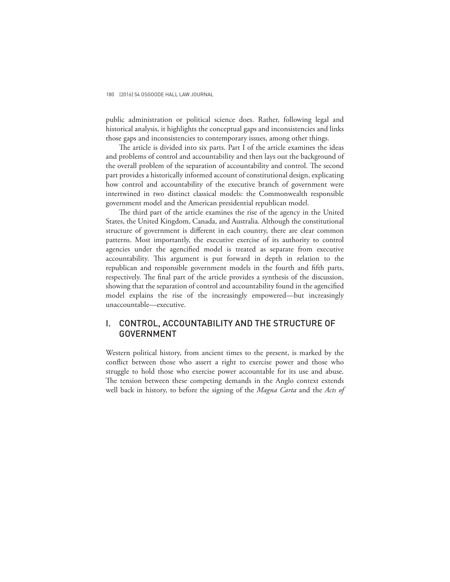public administration or political science does. Rather, following legal and historical analysis, it highlights the conceptual gaps and inconsistencies and links those gaps and inconsistencies to contemporary issues, among other things.

The article is divided into six parts. Part I of the article examines the ideas and problems of control and accountability and then lays out the background of the overall problem of the separation of accountability and control. The second part provides a historically informed account of constitutional design, explicating how control and accountability of the executive branch of government were intertwined in two distinct classical models: the Commonwealth responsible government model and the American presidential republican model.

The third part of the article examines the rise of the agency in the United States, the United Kingdom, Canada, and Australia. Although the constitutional structure of government is different in each country, there are clear common patterns. Most importantly, the executive exercise of its authority to control agencies under the agencified model is treated as separate from executive accountability. This argument is put forward in depth in relation to the republican and responsible government models in the fourth and fifth parts, respectively. The final part of the article provides a synthesis of the discussion, showing that the separation of control and accountability found in the agencified model explains the rise of the increasingly empowered—but increasingly unaccountable—executive.

# I. CONTROL, ACCOUNTABILITY AND THE STRUCTURE OF GOVERNMENT

Western political history, from ancient times to the present, is marked by the conflict between those who assert a right to exercise power and those who struggle to hold those who exercise power accountable for its use and abuse. The tension between these competing demands in the Anglo context extends well back in history, to before the signing of the *Magna Carta* and the *Acts of*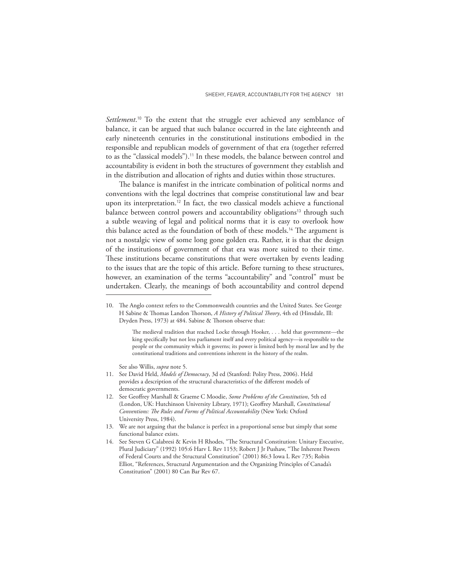*Settlement*. <sup>10</sup> To the extent that the struggle ever achieved any semblance of balance, it can be argued that such balance occurred in the late eighteenth and early nineteenth centuries in the constitutional institutions embodied in the responsible and republican models of government of that era (together referred to as the "classical models").<sup>11</sup> In these models, the balance between control and accountability is evident in both the structures of government they establish and in the distribution and allocation of rights and duties within those structures.

The balance is manifest in the intricate combination of political norms and conventions with the legal doctrines that comprise constitutional law and bear upon its interpretation.<sup>12</sup> In fact, the two classical models achieve a functional balance between control powers and accountability obligations<sup>13</sup> through such a subtle weaving of legal and political norms that it is easy to overlook how this balance acted as the foundation of both of these models.<sup>14</sup> The argument is not a nostalgic view of some long gone golden era. Rather, it is that the design of the institutions of government of that era was more suited to their time. These institutions became constitutions that were overtaken by events leading to the issues that are the topic of this article. Before turning to these structures, however, an examination of the terms "accountability" and "control" must be undertaken. Clearly, the meanings of both accountability and control depend

See also Willis, *supra* note 5.

- 11. See David Held, *Models of Democracy*, 3d ed (Stanford: Polity Press, 2006). Held provides a description of the structural characteristics of the different models of democratic governments.
- 12. See Geoffrey Marshall & Graeme C Moodie, *Some Problems of the Constitution*, 5th ed (London, UK: Hutchinson University Library, 1971); Geoffrey Marshall, *Constitutional Conventions: The Rules and Forms of Political Accountability* (New York: Oxford University Press, 1984).
- 13. We are not arguing that the balance is perfect in a proportional sense but simply that some functional balance exists.
- 14. See Steven G Calabresi & Kevin H Rhodes, "The Structural Constitution: Unitary Executive, Plural Judiciary" (1992) 105:6 Harv L Rev 1153; Robert J Jr Pushaw, "The Inherent Powers of Federal Courts and the Structural Constitution" (2001) 86:3 Iowa L Rev 735; Robin Elliot, "References, Structural Argumentation and the Organizing Principles of Canada's Constitution" (2001) 80 Can Bar Rev 67.

<sup>10.</sup> The Anglo context refers to the Commonwealth countries and the United States. See George H Sabine & Thomas Landon Thorson, *A History of Political Theory*, 4th ed (Hinsdale, Ill: Dryden Press, 1973) at 484. Sabine & Thorson observe that:

The medieval tradition that reached Locke through Hooker, . . . held that government—the king specifically but not less parliament itself and every political agency—is responsible to the people or the community which it governs; its power is limited both by moral law and by the constitutional traditions and conventions inherent in the history of the realm.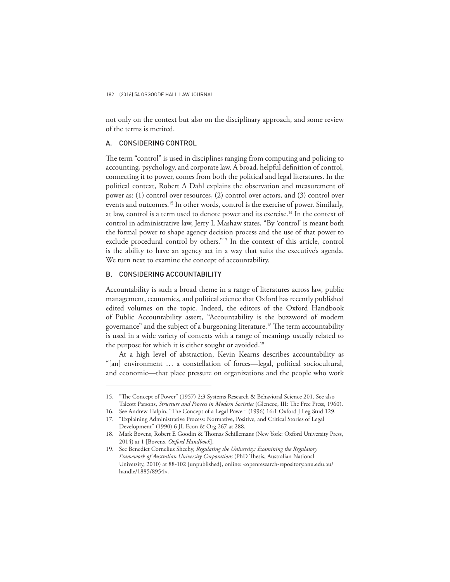not only on the context but also on the disciplinary approach, and some review of the terms is merited.

### A. CONSIDERING CONTROL

The term "control" is used in disciplines ranging from computing and policing to accounting, psychology, and corporate law. A broad, helpful definition of control, connecting it to power, comes from both the political and legal literatures. In the political context, Robert A Dahl explains the observation and measurement of power as: (1) control over resources, (2) control over actors, and (3) control over events and outcomes.<sup>15</sup> In other words, control is the exercise of power. Similarly, at law, control is a term used to denote power and its exercise.<sup>16</sup> In the context of control in administrative law, Jerry L Mashaw states, "By 'control' is meant both the formal power to shape agency decision process and the use of that power to exclude procedural control by others."<sup>17</sup> In the context of this article, control is the ability to have an agency act in a way that suits the executive's agenda. We turn next to examine the concept of accountability.

## B. CONSIDERING ACCOUNTABILITY

Accountability is such a broad theme in a range of literatures across law, public management, economics, and political science that Oxford has recently published edited volumes on the topic. Indeed, the editors of the Oxford Handbook of Public Accountability assert, "Accountability is the buzzword of modern governance" and the subject of a burgeoning literature.<sup>18</sup> The term accountability is used in a wide variety of contexts with a range of meanings usually related to the purpose for which it is either sought or avoided.<sup>19</sup>

At a high level of abstraction, Kevin Kearns describes accountability as "[an] environment … a constellation of forces—legal, political sociocultural, and economic—that place pressure on organizations and the people who work

<sup>15.</sup> "The Concept of Power" (1957) 2:3 Systems Research & Behavioral Science 201. See also Talcott Parsons, *Structure and Process in Modern Societies* (Glencoe, III: The Free Press, 1960).

<sup>16.</sup> See Andrew Halpin, "The Concept of a Legal Power" (1996) 16:1 Oxford J Leg Stud 129.

<sup>17.</sup> "Explaining Administrative Process: Normative, Positive, and Critical Stories of Legal Development" (1990) 6 JL Econ & Org 267 at 288.

<sup>18.</sup> Mark Bovens, Robert E Goodin & Thomas Schillemans (New York: Oxford University Press, 2014) at 1 [Bovens, *Oxford Handbook*].

<sup>19.</sup> See Benedict Cornelius Sheehy, *Regulating the University: Examining the Regulatory Framework of Australian University Corporations* (PhD Thesis, Australian National University, 2010) at 88-102 [unpublished], online: <openresearch-repository.anu.edu.au/ handle/1885/8954>.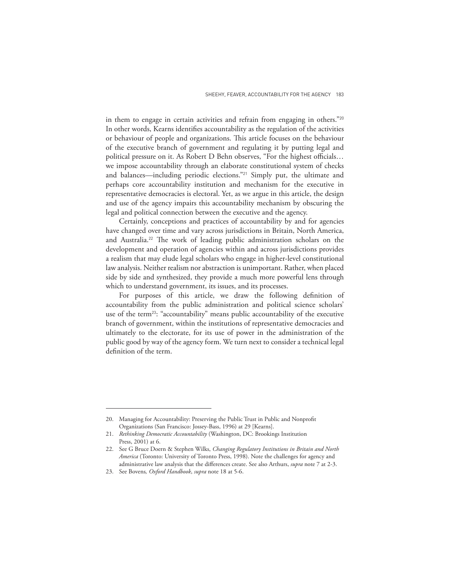in them to engage in certain activities and refrain from engaging in others."<sup>20</sup> In other words, Kearns identifies accountability as the regulation of the activities or behaviour of people and organizations. This article focuses on the behaviour of the executive branch of government and regulating it by putting legal and political pressure on it. As Robert D Behn observes, "For the highest officials… we impose accountability through an elaborate constitutional system of checks and balances—including periodic elections."<sup>21</sup> Simply put, the ultimate and perhaps core accountability institution and mechanism for the executive in representative democracies is electoral. Yet, as we argue in this article, the design and use of the agency impairs this accountability mechanism by obscuring the legal and political connection between the executive and the agency.

Certainly, conceptions and practices of accountability by and for agencies have changed over time and vary across jurisdictions in Britain, North America, and Australia.<sup>22</sup> The work of leading public administration scholars on the development and operation of agencies within and across jurisdictions provides a realism that may elude legal scholars who engage in higher-level constitutional law analysis. Neither realism nor abstraction is unimportant. Rather, when placed side by side and synthesized, they provide a much more powerful lens through which to understand government, its issues, and its processes.

For purposes of this article, we draw the following definition of accountability from the public administration and political science scholars' use of the term<sup>23</sup>: "accountability" means public accountability of the executive branch of government, within the institutions of representative democracies and ultimately to the electorate, for its use of power in the administration of the public good by way of the agency form. We turn next to consider a technical legal definition of the term.

<sup>20.</sup> Managing for Accountability: Preserving the Public Trust in Public and Nonprofit Organizations (San Francisco: Jossey-Bass, 1996) at 29 [Kearns].

<sup>21.</sup> *Rethinking Democratic Accountability* (Washington, DC: Brookings Institution Press, 2001) at 6.

<sup>22.</sup> See G Bruce Doern & Stephen Wilks, *Changing Regulatory Institutions in Britain and North America* (Toronto: University of Toronto Press, 1998). Note the challenges for agency and administrative law analysis that the differences create. See also Arthurs, *supra* note 7 at 2-3.

<sup>23.</sup> See Bovens*, Oxford Handbook*, *supra* note 18 at 5-6.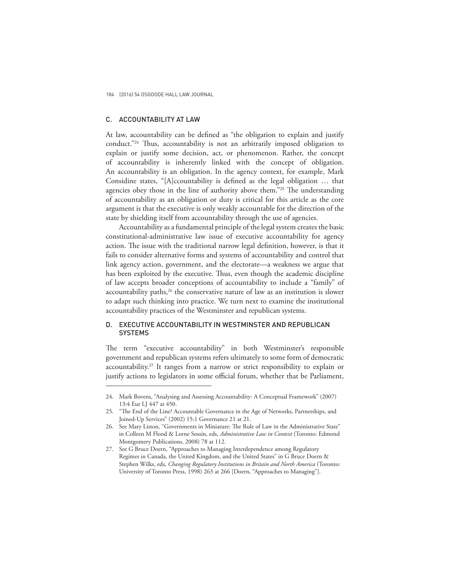# C. ACCOUNTABILITY AT LAW

At law, accountability can be defined as "the obligation to explain and justify conduct."<sup>24</sup> Thus, accountability is not an arbitrarily imposed obligation to explain or justify some decision, act, or phenomenon. Rather, the concept of accountability is inherently linked with the concept of obligation. An accountability is an obligation. In the agency context, for example, Mark Considine states, "[A]ccountability is defined as the legal obligation … that agencies obey those in the line of authority above them."<sup>25</sup> The understanding of accountability as an obligation or duty is critical for this article as the core argument is that the executive is only weakly accountable for the direction of the state by shielding itself from accountability through the use of agencies.

Accountability as a fundamental principle of the legal system creates the basic constitutional-administrative law issue of executive accountability for agency action. The issue with the traditional narrow legal definition, however, is that it fails to consider alternative forms and systems of accountability and control that link agency action, government, and the electorate—a weakness we argue that has been exploited by the executive. Thus, even though the academic discipline of law accepts broader conceptions of accountability to include a "family" of accountability paths, $26$  the conservative nature of law as an institution is slower to adapt such thinking into practice. We turn next to examine the institutional accountability practices of the Westminster and republican systems.

## D. EXECUTIVE ACCOUNTABILITY IN WESTMINSTER AND REPUBLICAN **SYSTEMS**

The term "executive accountability" in both Westminster's responsible government and republican systems refers ultimately to some form of democratic accountability.<sup>27</sup> It ranges from a narrow or strict responsibility to explain or justify actions to legislators in some official forum, whether that be Parliament,

<sup>24.</sup> Mark Bovens, "Analysing and Assessing Accountability: A Conceptual Framework" (2007) 13:4 Eur LJ 447 at 450.

<sup>25.</sup> "The End of the Line? Accountable Governance in the Age of Networks, Partnerships, and Joined-Up Services" (2002) 15:1 Governance 21 at 21.

<sup>26.</sup> See Mary Liston, "Governments in Miniature: The Rule of Law in the Administrative State" in Colleen M Flood & Lorne Sossin, eds, *Administrative Law in Context* (Toronto: Edmond Montgomery Publications, 2008) 78 at 112.

<sup>27.</sup> See G Bruce Doern, "Approaches to Managing Interdependence among Regulatory Regimes in Canada, the United Kingdom, and the United States" in G Bruce Doern & Stephen Wilks, eds, *Changing Regulatory Institutions in Britain and North America* (Toronto: University of Toronto Press, 1998) 263 at 266 [Doern, "Approaches to Managing"].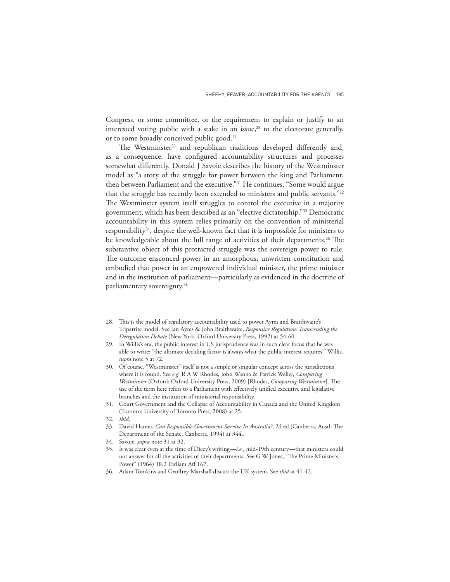Congress, or some committee, or the requirement to explain or justify to an interested voting public with a stake in an issue, $28$  to the electorate generally, or to some broadly conceived public good.<sup>29</sup>

The Westminster<sup>30</sup> and republican traditions developed differently and, as a consequence, have configured accountability structures and processes somewhat differently. Donald J Savoie describes the history of the Westminster model as "a story of the struggle for power between the king and Parliament, then between Parliament and the executive."<sup>31</sup> He continues, "Some would argue that the struggle has recently been extended to ministers and public servants."<sup>32</sup> The Westminster system itself struggles to control the executive in a majority government, which has been described as an "elective dictatorship."<sup>33</sup> Democratic accountability in this system relies primarily on the convention of ministerial responsibility<sup>34</sup>, despite the well-known fact that it is impossible for ministers to be knowledgeable about the full range of activities of their departments.<sup>35</sup> The substantive object of this protracted struggle was the sovereign power to rule. The outcome ensconced power in an amorphous, unwritten constitution and embodied that power in an empowered individual minister, the prime minister and in the institution of parliament—particularly as evidenced in the doctrine of parliamentary sovereignty.<sup>36</sup>

<sup>28.</sup> This is the model of regulatory accountability used to power Ayres and Braithwaite's Tripartite model. See Ian Ayres & John Braithwaite, *Responsive Regulation: Transcending the Deregulation Debate* (New York: Oxford University Press, 1992) at 54-60.

<sup>29.</sup> In Willis's era, the public interest in US jurisprudence was in such clear focus that he was able to write: "the ultimate deciding factor is always what the public interest requires." Willis, *supra* note 5 at 72.

<sup>30.</sup> Of course, "Westminster" itself is not a simple or singular concept across the jurisdictions where it is found. See *e.g.* R A W Rhodes, John Wanna & Patrick Weller, *Comparing Westminster* (Oxford: Oxford University Press, 2009) [Rhodes, *Comparing Westminster*]. The use of the term here refers to a Parliament with effectively unified executive and legislative branches and the institution of ministerial responsibility.

<sup>31.</sup> Court Government and the Collapse of Accountability in Canada and the United Kingdom (Toronto: University of Toronto Press, 2008) at 25.

<sup>32.</sup> *Ibid*.

<sup>33.</sup> David Hamer, *Can Responsible Government Survive In Australia?*, 2d ed (Canberra, Austl: The Department of the Senate, Canberra, 1994) at 344..

<sup>34.</sup> Savoie, *supra* note 31 at 32.

<sup>35.</sup> It was clear even at the time of Dicey's writing—*i.e.*, mid-19th century—that ministers could not answer for all the activities of their departments. See G W Jones, "The Prime Minister's Power" (1964) 18:2 Parliam Aff 167.

<sup>36.</sup> Adam Tomkins and Geoffrey Marshall discuss the UK system. See *ibid* at 41-42.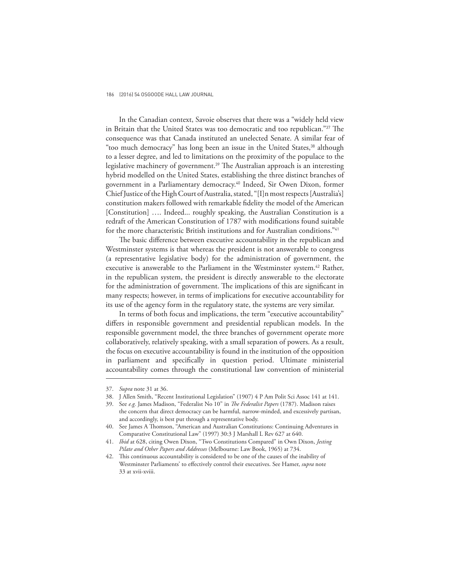In the Canadian context, Savoie observes that there was a "widely held view in Britain that the United States was too democratic and too republican."<sup>37</sup> The consequence was that Canada instituted an unelected Senate. A similar fear of "too much democracy" has long been an issue in the United States,<sup>38</sup> although to a lesser degree, and led to limitations on the proximity of the populace to the legislative machinery of government.<sup>39</sup> The Australian approach is an interesting hybrid modelled on the United States, establishing the three distinct branches of government in a Parliamentary democracy.<sup>40</sup> Indeed, Sir Owen Dixon, former Chief Justice of the High Court of Australia, stated, "[I]n most respects [Australia's] constitution makers followed with remarkable fidelity the model of the American [Constitution] .... Indeed... roughly speaking, the Australian Constitution is a redraft of the American Constitution of 1787 with modifications found suitable for the more characteristic British institutions and for Australian conditions."<sup>41</sup>

The basic difference between executive accountability in the republican and Westminster systems is that whereas the president is not answerable to congress (a representative legislative body) for the administration of government, the executive is answerable to the Parliament in the Westminster system.<sup>42</sup> Rather, in the republican system, the president is directly answerable to the electorate for the administration of government. The implications of this are significant in many respects; however, in terms of implications for executive accountability for its use of the agency form in the regulatory state, the systems are very similar.

In terms of both focus and implications, the term "executive accountability" differs in responsible government and presidential republican models. In the responsible government model, the three branches of government operate more collaboratively, relatively speaking, with a small separation of powers. As a result, the focus on executive accountability is found in the institution of the opposition in parliament and specifically in question period. Ultimate ministerial accountability comes through the constitutional law convention of ministerial

<sup>37.</sup> *Supra* note 31 at 36.

<sup>38.</sup> J Allen Smith, "Recent Institutional Legislation" (1907) 4 P Am Polit Sci Assoc 141 at 141.

<sup>39.</sup> See *e.g.* James Madison, "Federalist No 10" in *The Federalist Papers* (1787). Madison raises the concern that direct democracy can be harmful, narrow-minded, and excessively partisan, and accordingly, is best put through a representative body.

<sup>40.</sup> See James A Thomson, "American and Australian Constitutions: Continuing Adventures in Comparative Constitutional Law" (1997) 30:3 J Marshall L Rev 627 at 640.

<sup>41.</sup> *Ibid* at 628, citing Owen Dixon, "Two Constitutions Compared" in Own Dixon, *Jesting Pilate and Other Papers and Addresses* (Melbourne: Law Book, 1965) at 734.

<sup>42.</sup> This continuous accountability is considered to be one of the causes of the inability of Westminster Parliaments' to effectively control their executives. See Hamer, *supra* note 33 at xvii-xviii.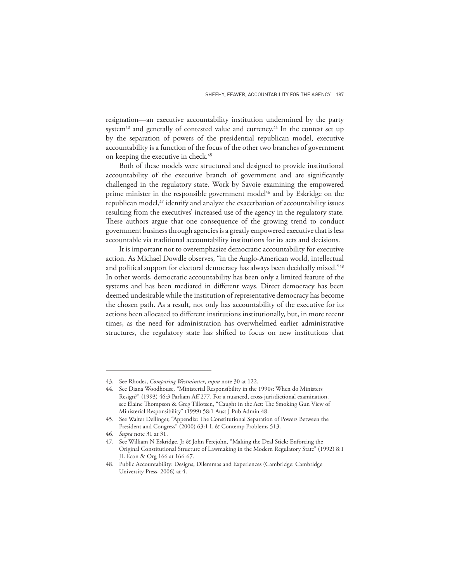resignation—an executive accountability institution undermined by the party system<sup>43</sup> and generally of contested value and currency.<sup>44</sup> In the contest set up by the separation of powers of the presidential republican model, executive accountability is a function of the focus of the other two branches of government on keeping the executive in check.<sup>45</sup>

Both of these models were structured and designed to provide institutional accountability of the executive branch of government and are significantly challenged in the regulatory state. Work by Savoie examining the empowered prime minister in the responsible government model<sup>46</sup> and by Eskridge on the republican model,<sup>47</sup> identify and analyze the exacerbation of accountability issues resulting from the executives' increased use of the agency in the regulatory state. These authors argue that one consequence of the growing trend to conduct government business through agencies is a greatly empowered executive that is less accountable via traditional accountability institutions for its acts and decisions.

It is important not to overemphasize democratic accountability for executive action. As Michael Dowdle observes, "in the Anglo-American world, intellectual and political support for electoral democracy has always been decidedly mixed."<sup>48</sup> In other words, democratic accountability has been only a limited feature of the systems and has been mediated in different ways. Direct democracy has been deemed undesirable while the institution of representative democracy has become the chosen path. As a result, not only has accountability of the executive for its actions been allocated to different institutions institutionally, but, in more recent times, as the need for administration has overwhelmed earlier administrative structures, the regulatory state has shifted to focus on new institutions that

<sup>43.</sup> See Rhodes, *Comparing Westminster*, *supra* note 30 at 122.

<sup>44.</sup> See Diana Woodhouse, "Ministerial Responsibility in the 1990s: When do Ministers Resign?" (1993) 46:3 Parliam Aff 277. For a nuanced, cross-jurisdictional examination, see Elaine Thompson & Greg Tillotsen, "Caught in the Act: The Smoking Gun View of Ministerial Responsibility" (1999) 58:1 Aust J Pub Admin 48.

<sup>45.</sup> See Walter Dellinger, "Appendix: The Constitutional Separation of Powers Between the President and Congress" (2000) 63:1 L & Contemp Problems 513.

<sup>46.</sup> *Supra* note 31 at 31.

<sup>47.</sup> See William N Eskridge, Jr & John Ferejohn, "Making the Deal Stick: Enforcing the Original Constitutional Structure of Lawmaking in the Modern Regulatory State" (1992) 8:1 JL Econ & Org 166 at 166-67.

<sup>48.</sup> Public Accountability: Designs, Dilemmas and Experiences (Cambridge: Cambridge University Press, 2006) at 4.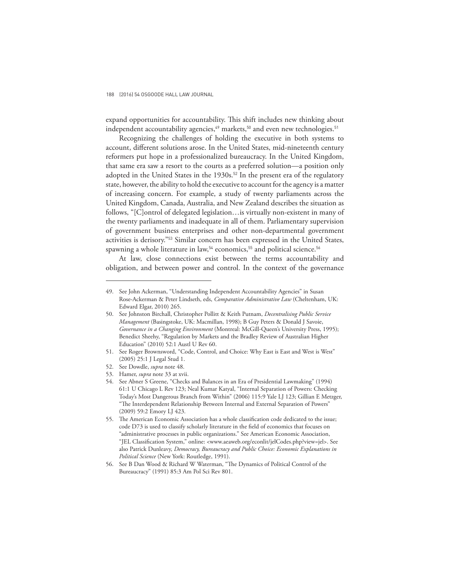expand opportunities for accountability. This shift includes new thinking about independent accountability agencies,<sup>49</sup> markets,<sup>50</sup> and even new technologies.<sup>51</sup>

Recognizing the challenges of holding the executive in both systems to account, different solutions arose. In the United States, mid-nineteenth century reformers put hope in a professionalized bureaucracy. In the United Kingdom, that same era saw a resort to the courts as a preferred solution—a position only adopted in the United States in the 1930s.<sup>52</sup> In the present era of the regulatory state, however, the ability to hold the executive to account for the agency is a matter of increasing concern. For example, a study of twenty parliaments across the United Kingdom, Canada, Australia, and New Zealand describes the situation as follows, "[C]ontrol of delegated legislation…is virtually non-existent in many of the twenty parliaments and inadequate in all of them. Parliamentary supervision of government business enterprises and other non-departmental government activities is derisory."<sup>53</sup> Similar concern has been expressed in the United States, spawning a whole literature in law,<sup>54</sup> economics,<sup>55</sup> and political science.<sup>56</sup>

At law, close connections exist between the terms accountability and obligation, and between power and control. In the context of the governance

<sup>49.</sup> See John Ackerman, "Understanding Independent Accountability Agencies" in Susan Rose-Ackerman & Peter Lindseth, eds, *Comparative Administrative Law* (Cheltenham, UK: Edward Elgar, 2010) 265.

<sup>50.</sup> See Johnston Birchall, Christopher Pollitt & Keith Putnam, *Decentralising Public Service Management* (Basingstoke, UK: Macmillan, 1998); B Guy Peters & Donald J Savoie, *Governance in a Changing Environment* (Montreal: McGill-Queen's University Press, 1995); Benedict Sheehy, "Regulation by Markets and the Bradley Review of Australian Higher Education" (2010) 52:1 Austl U Rev 60.

<sup>51.</sup> See Roger Brownsword, "Code, Control, and Choice: Why East is East and West is West" (2005) 25:1 J Legal Stud 1.

<sup>52.</sup> See Dowdle, *supra* note 48.

<sup>53.</sup> Hamer, *supra* note 33 at xvii.

<sup>54.</sup> See Abner S Greene, "Checks and Balances in an Era of Presidential Lawmaking" (1994) 61:1 U Chicago L Rev 123; Neal Kumar Katyal, "Internal Separation of Powers: Checking Today's Most Dangerous Branch from Within" (2006) 115:9 Yale LJ 123; Gillian E Metzger, "The Interdependent Relationship Between Internal and External Separation of Powers" (2009) 59:2 Emory LJ 423.

<sup>55.</sup> The American Economic Association has a whole classification code dedicated to the issue; code D73 is used to classify scholarly literature in the field of economics that focuses on "administrative processes in public organizations." See American Economic Association, "JEL Classification System," online: <www.aeaweb.org/econlit/jelCodes.php?view=jel>. See also Patrick Dunleavy, *Democracy, Bureaucracy and Public Choice: Economic Explanations in Political Science* (New York: Routledge, 1991).

<sup>56.</sup> See B Dan Wood & Richard W Waterman, "The Dynamics of Political Control of the Bureaucracy" (1991) 85:3 Am Pol Sci Rev 801.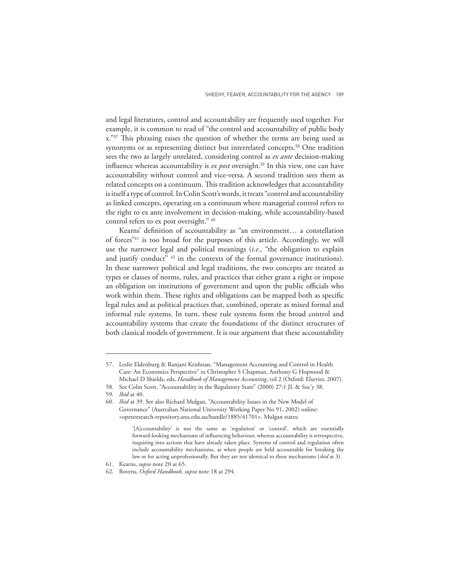and legal literatures, control and accountability are frequently used together. For example, it is common to read of "the control and accountability of public body x."<sup>57</sup> This phrasing raises the question of whether the terms are being used as synonyms or as representing distinct but interrelated concepts.<sup>58</sup> One tradition sees the two as largely unrelated, considering control as *ex ante* decision-making influence whereas accountability is *ex post* oversight.<sup>59</sup> In this view, one can have accountability without control and vice-versa. A second tradition sees them as related concepts on a continuum. This tradition acknowledges that accountability is itself a type of control. In Colin Scott's words, it treats "control and accountability as linked concepts, operating on a continuum where managerial control refers to the right to ex ante involvement in decision-making, while accountability-based control refers to ex post oversight." 60

Kearns' definition of accountability as "an environment… a constellation of forces"<sup>61</sup> is too broad for the purposes of this article. Accordingly, we will use the narrower legal and political meanings (*i.e.*, "the obligation to explain and justify conduct" <sup>62</sup> in the contexts of the formal governance institutions). In these narrower political and legal traditions, the two concepts are treated as types or classes of norms, rules, and practices that either grant a right or impose an obligation on institutions of government and upon the public officials who work within them. These rights and obligations can be mapped both as specific legal rules and as political practices that, combined, operate as mixed formal and informal rule systems. In turn, these rule systems form the broad control and accountability systems that create the foundations of the distinct structures of both classical models of government. It is our argument that these accountability

<sup>57.</sup> Leslie Eldenburg & Ranjani Krishnan, "Management Accounting and Control in Health Care: An Economics Perspective" in Christopher S Chapman, Anthony G Hopwood & Michael D Shields, eds, *Handbook of Management Accounting*, vol 2 (Oxford: Elsevier, 2007).

<sup>58.</sup> See Colin Scott, "Accountability in the Regulatory State" (2000) 27:1 JL & Soc'y 38.

<sup>59.</sup> *Ibid* at 40.

<sup>60.</sup> *Ibid* at 39. See also Richard Mulgan, "Accountability Issues in the New Model of Governance" (Australian National University Working Paper No 91, 2002) online: <openresearch-repository.anu.edu.au/handle/1885/41701>. Mulgan states:

<sup>&#</sup>x27;[A]ccountability' is not the same as 'regulation' or 'control', which are essentially forward-looking mechanisms of influencing behaviour, whereas accountability is retrospective, inquiring into actions that have already taken place. Systems of control and regulation often include accountability mechanisms, as when people are held accountable for breaking the law or for acting unprofessionally. But they are not identical to these mechanisms (*ibid* at 3).

<sup>61.</sup> Kearns, *supra* note 20 at 65.

<sup>62.</sup> Bovens, *Oxford Handbook*, *supra* note 18 at 294.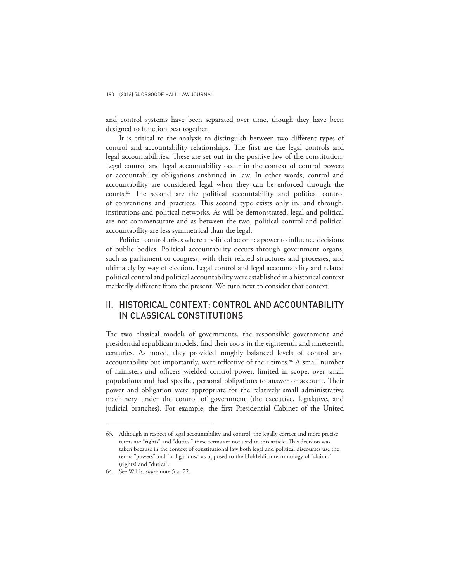and control systems have been separated over time, though they have been designed to function best together.

It is critical to the analysis to distinguish between two different types of control and accountability relationships. The first are the legal controls and legal accountabilities. These are set out in the positive law of the constitution. Legal control and legal accountability occur in the context of control powers or accountability obligations enshrined in law. In other words, control and accountability are considered legal when they can be enforced through the courts.<sup>63</sup> The second are the political accountability and political control of conventions and practices. This second type exists only in, and through, institutions and political networks. As will be demonstrated, legal and political are not commensurate and as between the two, political control and political accountability are less symmetrical than the legal.

Political control arises where a political actor has power to influence decisions of public bodies. Political accountability occurs through government organs, such as parliament or congress, with their related structures and processes, and ultimately by way of election. Legal control and legal accountability and related political control and political accountability were established in a historical context markedly different from the present. We turn next to consider that context.

# II. HISTORICAL CONTEXT: CONTROL AND ACCOUNTABILITY IN CLASSICAL CONSTITUTIONS

The two classical models of governments, the responsible government and presidential republican models, find their roots in the eighteenth and nineteenth centuries. As noted, they provided roughly balanced levels of control and accountability but importantly, were reflective of their times.<sup>64</sup> A small number of ministers and officers wielded control power, limited in scope, over small populations and had specific, personal obligations to answer or account. Their power and obligation were appropriate for the relatively small administrative machinery under the control of government (the executive, legislative, and judicial branches). For example, the first Presidential Cabinet of the United

<sup>63.</sup> Although in respect of legal accountability and control, the legally correct and more precise terms are "rights" and "duties," these terms are not used in this article. This decision was taken because in the context of constitutional law both legal and political discourses use the terms "powers" and "obligations," as opposed to the Hohfeldian terminology of "claims" (rights) and "duties".

<sup>64.</sup> See Willis, *supra* note 5 at 72.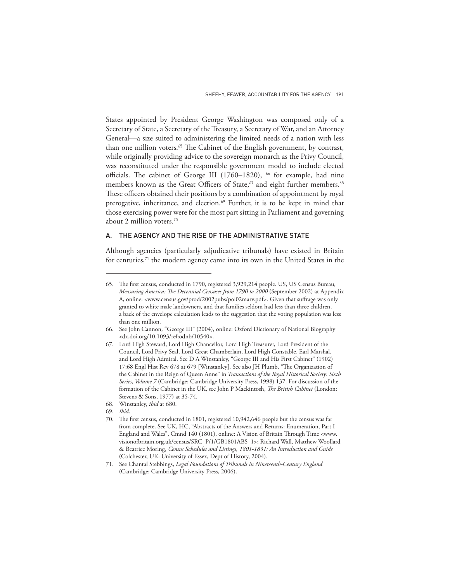States appointed by President George Washington was composed only of a Secretary of State, a Secretary of the Treasury, a Secretary of War, and an Attorney General—a size suited to administering the limited needs of a nation with less than one million voters.<sup>65</sup> The Cabinet of the English government, by contrast, while originally providing advice to the sovereign monarch as the Privy Council, was reconstituted under the responsible government model to include elected officials. The cabinet of George III (1760–1820), <sup>66</sup> for example, had nine members known as the Great Officers of State,<sup>67</sup> and eight further members.<sup>68</sup> These officers obtained their positions by a combination of appointment by royal prerogative, inheritance, and election.<sup>69</sup> Further, it is to be kept in mind that those exercising power were for the most part sitting in Parliament and governing about 2 million voters.<sup>70</sup>

## A. THE AGENCY AND THE RISE OF THE ADMINISTRATIVE STATE

Although agencies (particularly adjudicative tribunals) have existed in Britain for centuries,<sup>71</sup> the modern agency came into its own in the United States in the

<sup>65.</sup> The first census, conducted in 1790, registered 3,929,214 people. US, US Census Bureau, *Measuring America: The Decennial Censuses from 1790 to 2000* (September 2002) at Appendix A, online: <www.census.gov/prod/2002pubs/pol02marv.pdf>. Given that suffrage was only granted to white male landowners, and that families seldom had less than three children, a back of the envelope calculation leads to the suggestion that the voting population was less than one million.

<sup>66.</sup> See John Cannon, "George III" (2004), online: Oxford Dictionary of National Biography <dx.doi.org/10.1093/ref:odnb/10540>.

<sup>67.</sup> Lord High Steward, Lord High Chancellor, Lord High Treasurer, Lord President of the Council, Lord Privy Seal, Lord Great Chamberlain, Lord High Constable, Earl Marshal, and Lord High Admiral. See D A Winstanley, "George III and His First Cabinet" (1902) 17:68 Engl Hist Rev 678 at 679 [Winstanley]. See also JH Plumb, "The Organization of the Cabinet in the Reign of Queen Anne" in *Transactions of the Royal Historical Society: Sixth Series, Volume 7* (Cambridge: Cambridge University Press, 1998) 137. For discussion of the formation of the Cabinet in the UK, see John P Mackintosh, *The British Cabinet* (London: Stevens & Sons, 1977) at 35-74.

<sup>68.</sup> Winstanley, *ibid* at 680.

<sup>69.</sup> *Ibid*.

<sup>70.</sup> The first census, conducted in 1801, registered 10,942,646 people but the census was far from complete. See UK, HC, "Abstracts of the Answers and Returns: Enumeration, Part I England and Wales", Cmnd 140 (1801), online: A Vision of Britain Through Time <www. visionofbritain.org.uk/census/SRC\_P/1/GB1801ABS\_1>; Richard Wall, Matthew Woollard & Beatrice Moring, *Census Schedules and Listings, 1801-1831: An Introduction and Guide* (Colchester, UK: University of Essex, Dept of History, 2004).

<sup>71.</sup> See Chantal Stebbings, *Legal Foundations of Tribunals in Nineteenth-Century England*  (Cambridge: Cambridge University Press, 2006).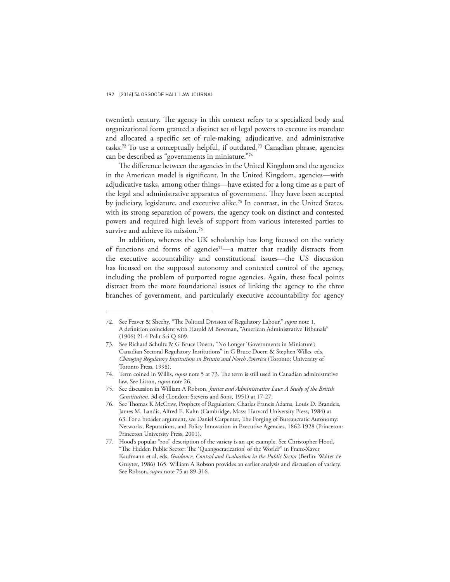twentieth century. The agency in this context refers to a specialized body and organizational form granted a distinct set of legal powers to execute its mandate and allocated a specific set of rule-making, adjudicative, and administrative tasks.<sup>72</sup> To use a conceptually helpful, if outdated,<sup>73</sup> Canadian phrase, agencies can be described as "governments in miniature."<sup>74</sup>

The difference between the agencies in the United Kingdom and the agencies in the American model is significant. In the United Kingdom, agencies—with adjudicative tasks, among other things—have existed for a long time as a part of the legal and administrative apparatus of government. They have been accepted by judiciary, legislature, and executive alike.<sup>75</sup> In contrast, in the United States, with its strong separation of powers, the agency took on distinct and contested powers and required high levels of support from various interested parties to survive and achieve its mission.<sup>76</sup>

In addition, whereas the UK scholarship has long focused on the variety of functions and forms of agencies<sup>77</sup>—a matter that readily distracts from the executive accountability and constitutional issues—the US discussion has focused on the supposed autonomy and contested control of the agency, including the problem of purported rogue agencies. Again, these focal points distract from the more foundational issues of linking the agency to the three branches of government, and particularly executive accountability for agency

<sup>72.</sup> See Feaver & Sheehy, "The Political Division of Regulatory Labour," *supra* note 1. A definition coincident with Harold M Bowman, "American Administrative Tribunals" (1906) 21:4 Polit Sci Q 609.

<sup>73.</sup> See Richard Schultz & G Bruce Doern, "No Longer 'Governments in Miniature': Canadian Sectoral Regulatory Institutions" in G Bruce Doern & Stephen Wilks, eds, *Changing Regulatory Institutions in Britain and North America* (Toronto: University of Toronto Press, 1998).

<sup>74.</sup> Term coined in Willis, *supra* note 5 at 73. The term is still used in Canadian administrative law. See Liston, *supra* note 26.

<sup>75.</sup> See discussion in William A Robson, *Justice and Administrative Law: A Study of the British Constitution*, 3d ed (London: Stevens and Sons, 1951) at 17-27.

<sup>76.</sup> See Thomas K McCraw, Prophets of Regulation: Charles Francis Adams, Louis D. Brandeis, James M. Landis, Alfred E. Kahn (Cambridge, Mass: Harvard University Press, 1984) at 63. For a broader argument, see Daniel Carpenter, The Forging of Bureaucratic Autonomy: Networks, Reputations, and Policy Innovation in Executive Agencies, 1862-1928 (Princeton: Princeton University Press, 2001).

<sup>77.</sup> Hood's popular "zoo" description of the variety is an apt example. See Christopher Hood, "The Hidden Public Sector: The 'Quangocratization' of the World?" in Franz-Xaver Kaufmann et al, eds, *Guidance, Control and Evaluation in the Public Sector* (Berlin: Walter de Gruyter, 1986) 165. William A Robson provides an earlier analysis and discussion of variety. See Robson, *supra* note 75 at 89-316.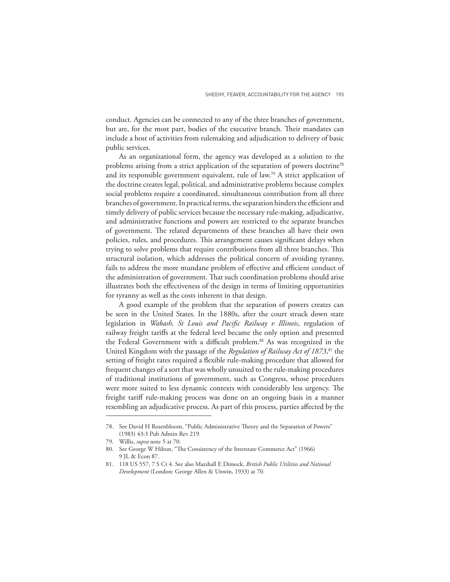conduct. Agencies can be connected to any of the three branches of government, but are, for the most part, bodies of the executive branch. Their mandates can include a host of activities from rulemaking and adjudication to delivery of basic public services.

As an organizational form, the agency was developed as a solution to the problems arising from a strict application of the separation of powers doctrine<sup>78</sup> and its responsible government equivalent, rule of law.<sup>79</sup> A strict application of the doctrine creates legal, political, and administrative problems because complex social problems require a coordinated, simultaneous contribution from all three branches of government. In practical terms, the separation hinders the efficient and timely delivery of public services because the necessary rule-making, adjudicative, and administrative functions and powers are restricted to the separate branches of government. The related departments of these branches all have their own policies, rules, and procedures. This arrangement causes significant delays when trying to solve problems that require contributions from all three branches. This structural isolation, which addresses the political concern of avoiding tyranny, fails to address the more mundane problem of effective and efficient conduct of the administration of government. That such coordination problems should arise illustrates both the effectiveness of the design in terms of limiting opportunities for tyranny as well as the costs inherent in that design.

A good example of the problem that the separation of powers creates can be seen in the United States. In the 1880s, after the court struck down state legislation in *Wabash, St Louis and Pacific Railway v Illinois*, regulation of railway freight tariffs at the federal level became the only option and presented the Federal Government with a difficult problem.<sup>80</sup> As was recognized in the United Kingdom with the passage of the *Regulation of Railway Act of 1873*, <sup>81</sup> the setting of freight rates required a flexible rule-making procedure that allowed for frequent changes of a sort that was wholly unsuited to the rule-making procedures of traditional institutions of government, such as Congress, whose procedures were more suited to less dynamic contexts with considerably less urgency. The freight tariff rule-making process was done on an ongoing basis in a manner resembling an adjudicative process. As part of this process, parties affected by the

<sup>78.</sup> See David H Rosenbloom, "Public Administrative Theory and the Separation of Powers" (1983) 43:3 Pub Admin Rev 219.

<sup>79.</sup> Willis, *supra* note 5 at 70.

<sup>80.</sup> See George W Hilton, "The Consistency of the Interstate Commerce Act" (1966) 9 JL & Econ 87.

<sup>81.</sup> 118 US 557, 7 S Ct 4. See also Marshall E Dimock, *British Public Utilities and National Development* (London: George Allen & Unwin, 1933) at 70.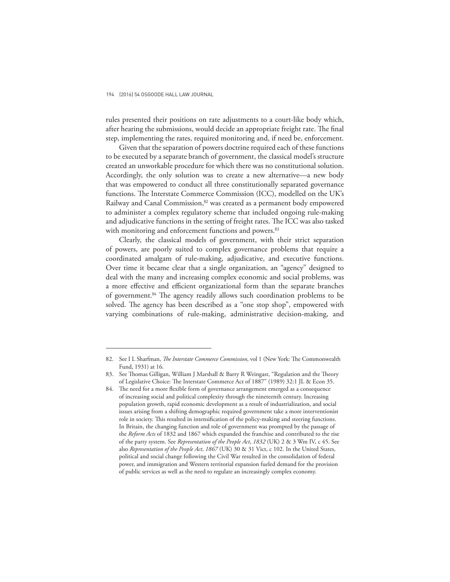rules presented their positions on rate adjustments to a court-like body which, after hearing the submissions, would decide an appropriate freight rate. The final step, implementing the rates, required monitoring and, if need be, enforcement.

Given that the separation of powers doctrine required each of these functions to be executed by a separate branch of government, the classical model's structure created an unworkable procedure for which there was no constitutional solution. Accordingly, the only solution was to create a new alternative—a new body that was empowered to conduct all three constitutionally separated governance functions. The Interstate Commerce Commission (ICC), modelled on the UK's Railway and Canal Commission,<sup>82</sup> was created as a permanent body empowered to administer a complex regulatory scheme that included ongoing rule-making and adjudicative functions in the setting of freight rates. The ICC was also tasked with monitoring and enforcement functions and powers.<sup>83</sup>

Clearly, the classical models of government, with their strict separation of powers, are poorly suited to complex governance problems that require a coordinated amalgam of rule-making, adjudicative, and executive functions. Over time it became clear that a single organization, an "agency" designed to deal with the many and increasing complex economic and social problems, was a more effective and efficient organizational form than the separate branches of government.<sup>84</sup> The agency readily allows such coordination problems to be solved. The agency has been described as a "one stop shop", empowered with varying combinations of rule-making, administrative decision-making, and

<sup>82.</sup> See I L Sharfman, *The Interstate Commerce Commission*, vol 1 (New York: The Commonwealth Fund, 1931) at 16.

<sup>83.</sup> See Thomas Gilligan, William J Marshall & Barry R Weingast, "Regulation and the Theory of Legislative Choice: The Interstate Commerce Act of 1887" (1989) 32:1 JL & Econ 35.

<sup>84.</sup> The need for a more flexible form of governance arrangement emerged as a consequence of increasing social and political complexity through the nineteenth century. Increasing population growth, rapid economic development as a result of industrialization, and social issues arising from a shifting demographic required government take a more interventionist role in society. This resulted in intensification of the policy-making and steering functions. In Britain, the changing function and role of government was prompted by the passage of the *Reform Acts* of 1832 and 1867 which expanded the franchise and contributed to the rise of the party system. See *Representation of the People Act*, *1832* (UK) 2 & 3 Wm IV, c 45. See also *Representation of the People Act*, *1867* (UK) 30 & 31 Vict, c 102. In the United States, political and social change following the Civil War resulted in the consolidation of federal power, and immigration and Western territorial expansion fueled demand for the provision of public services as well as the need to regulate an increasingly complex economy.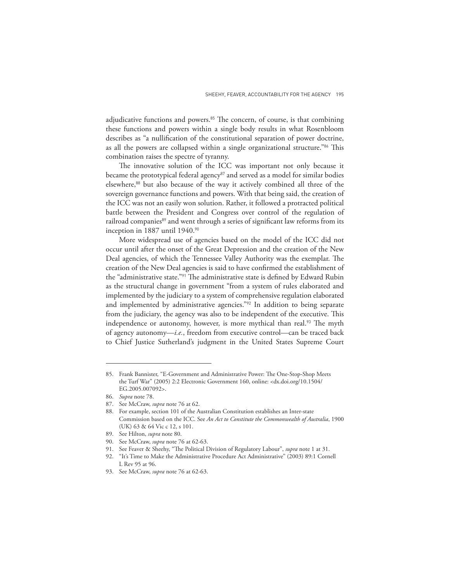adjudicative functions and powers. $85$  The concern, of course, is that combining these functions and powers within a single body results in what Rosenbloom describes as "a nullification of the constitutional separation of power doctrine, as all the powers are collapsed within a single organizational structure."<sup>86</sup> This combination raises the spectre of tyranny.

The innovative solution of the ICC was important not only because it became the prototypical federal agency<sup>87</sup> and served as a model for similar bodies elsewhere,<sup>88</sup> but also because of the way it actively combined all three of the sovereign governance functions and powers. With that being said, the creation of the ICC was not an easily won solution. Rather, it followed a protracted political battle between the President and Congress over control of the regulation of railroad companies<sup>89</sup> and went through a series of significant law reforms from its inception in 1887 until 1940.<sup>90</sup>

More widespread use of agencies based on the model of the ICC did not occur until after the onset of the Great Depression and the creation of the New Deal agencies, of which the Tennessee Valley Authority was the exemplar. The creation of the New Deal agencies is said to have confirmed the establishment of the "administrative state."<sup>91</sup> The administrative state is defined by Edward Rubin as the structural change in government "from a system of rules elaborated and implemented by the judiciary to a system of comprehensive regulation elaborated and implemented by administrative agencies."<sup>92</sup> In addition to being separate from the judiciary, the agency was also to be independent of the executive. This independence or autonomy, however, is more mythical than real.<sup>93</sup> The myth of agency autonomy—*i.e.*, freedom from executive control—can be traced back to Chief Justice Sutherland's judgment in the United States Supreme Court

<sup>85.</sup> Frank Bannister, "E-Government and Administrative Power: The One-Stop-Shop Meets the Turf War" (2005) 2:2 Electronic Government 160, online: <dx.doi.org/10.1504/ EG.2005.007092>.

<sup>86.</sup> *Supra* note 78.

<sup>87.</sup> See McCraw, *supra* note 76 at 62.

<sup>88.</sup> For example, section 101 of the Australian Constitution establishes an Inter-state Commission based on the ICC. See *An Act to Constitute the Commonwealth of Australia*, 1900 (UK) 63 & 64 Vic c 12, s 101.

<sup>89.</sup> See Hilton, *supra* note 80.

<sup>90.</sup> See McCraw, *supra* note 76 at 62-63.

<sup>91.</sup> See Feaver & Sheehy, "The Political Division of Regulatory Labour", *supra* note 1 at 31.

<sup>92.</sup> "It's Time to Make the Administrative Procedure Act Administrative" (2003) 89:1 Cornell L Rev 95 at 96.

<sup>93.</sup> See McCraw, *supra* note 76 at 62-63.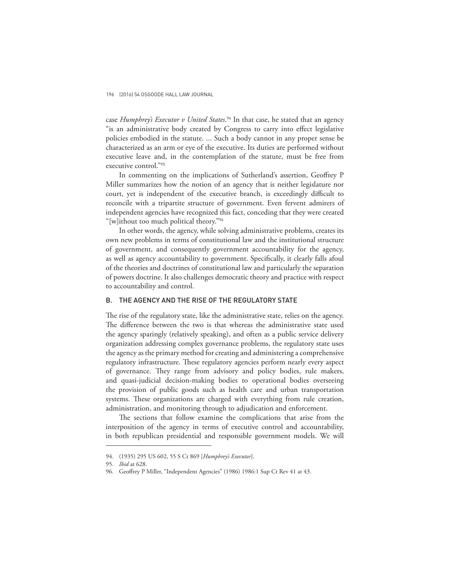case *Humphrey's Executor v United States*. <sup>94</sup> In that case, he stated that an agency "is an administrative body created by Congress to carry into effect legislative policies embodied in the statute. ... Such a body cannot in any proper sense be characterized as an arm or eye of the executive. Its duties are performed without executive leave and, in the contemplation of the statute, must be free from executive control."<sup>95</sup>

In commenting on the implications of Sutherland's assertion, Geoffrey P Miller summarizes how the notion of an agency that is neither legislature nor court, yet is independent of the executive branch, is exceedingly difficult to reconcile with a tripartite structure of government. Even fervent admirers of independent agencies have recognized this fact, conceding that they were created "[w]ithout too much political theory."<sup>96</sup>

In other words, the agency, while solving administrative problems, creates its own new problems in terms of constitutional law and the institutional structure of government, and consequently government accountability for the agency, as well as agency accountability to government. Specifically, it clearly falls afoul of the theories and doctrines of constitutional law and particularly the separation of powers doctrine. It also challenges democratic theory and practice with respect to accountability and control.

### B. THE AGENCY AND THE RISE OF THE REGULATORY STATE

The rise of the regulatory state, like the administrative state, relies on the agency. The difference between the two is that whereas the administrative state used the agency sparingly (relatively speaking), and often as a public service delivery organization addressing complex governance problems, the regulatory state uses the agency as the primary method for creating and administering a comprehensive regulatory infrastructure. These regulatory agencies perform nearly every aspect of governance. They range from advisory and policy bodies, rule makers, and quasi-judicial decision-making bodies to operational bodies overseeing the provision of public goods such as health care and urban transportation systems. These organizations are charged with everything from rule creation, administration, and monitoring through to adjudication and enforcement.

The sections that follow examine the complications that arise from the interposition of the agency in terms of executive control and accountability, in both republican presidential and responsible government models. We will

<sup>94.</sup> (1935) 295 US 602, 55 S Ct 869 [*Humphrey's Executor*].

<sup>95.</sup> *Ibid* at 628.

<sup>96.</sup> Geoffrey P Miller, "Independent Agencies" (1986) 1986:1 Sup Ct Rev 41 at 43.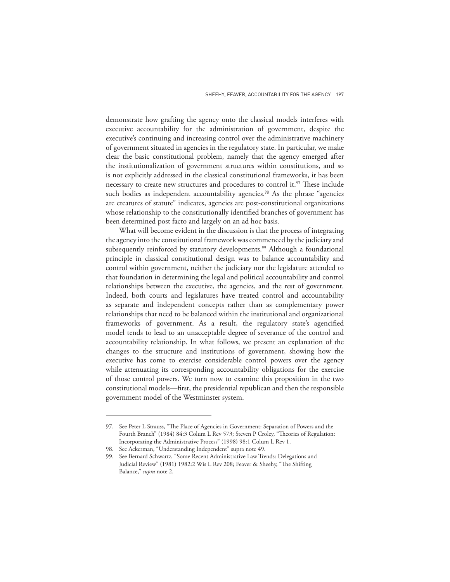demonstrate how grafting the agency onto the classical models interferes with executive accountability for the administration of government, despite the executive's continuing and increasing control over the administrative machinery of government situated in agencies in the regulatory state. In particular, we make clear the basic constitutional problem, namely that the agency emerged after the institutionalization of government structures within constitutions, and so is not explicitly addressed in the classical constitutional frameworks, it has been necessary to create new structures and procedures to control it.<sup>97</sup> These include such bodies as independent accountability agencies.<sup>98</sup> As the phrase "agencies are creatures of statute" indicates, agencies are post-constitutional organizations whose relationship to the constitutionally identified branches of government has been determined post facto and largely on an ad hoc basis.

What will become evident in the discussion is that the process of integrating the agency into the constitutional framework was commenced by the judiciary and subsequently reinforced by statutory developments.<sup>99</sup> Although a foundational principle in classical constitutional design was to balance accountability and control within government, neither the judiciary nor the legislature attended to that foundation in determining the legal and political accountability and control relationships between the executive, the agencies, and the rest of government. Indeed, both courts and legislatures have treated control and accountability as separate and independent concepts rather than as complementary power relationships that need to be balanced within the institutional and organizational frameworks of government. As a result, the regulatory state's agencified model tends to lead to an unacceptable degree of severance of the control and accountability relationship. In what follows, we present an explanation of the changes to the structure and institutions of government, showing how the executive has come to exercise considerable control powers over the agency while attenuating its corresponding accountability obligations for the exercise of those control powers. We turn now to examine this proposition in the two constitutional models—first, the presidential republican and then the responsible government model of the Westminster system.

<sup>97.</sup> See Peter L Strauss, "The Place of Agencies in Government: Separation of Powers and the Fourth Branch" (1984) 84:3 Colum L Rev 573; Steven P Croley, "Theories of Regulation: Incorporating the Administrative Process" (1998) 98:1 Colum L Rev 1.

<sup>98.</sup> See Ackerman, "Understanding Independent" supra note 49.

<sup>99.</sup> See Bernard Schwartz, "Some Recent Administrative Law Trends: Delegations and Judicial Review" (1981) 1982:2 Wis L Rev 208; Feaver & Sheehy, "The Shifting Balance," *supra* note 2.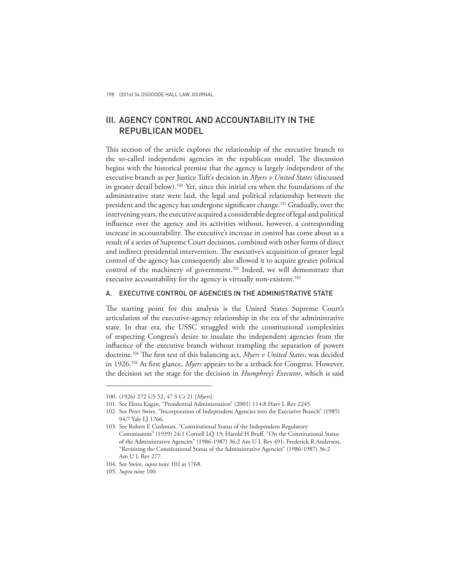# III. AGENCY CONTROL AND ACCOUNTABILITY IN THE REPUBLICAN MODEL

This section of the article explores the relationship of the executive branch to the so-called independent agencies in the republican model. The discussion begins with the historical premise that the agency is largely independent of the executive branch as per Justice Tuft's decision in *Myers v United States* (discussed in greater detail below).<sup>100</sup> Yet, since this initial era when the foundations of the administrative state were laid, the legal and political relationship between the president and the agency has undergone significant change.<sup>101</sup> Gradually, over the intervening years, the executive acquired a considerable degree of legal and political influence over the agency and its activities without, however, a corresponding increase in accountability. The executive's increase in control has come about as a result of a series of Supreme Court decisions, combined with other forms of direct and indirect presidential intervention. The executive's acquisition of greater legal control of the agency has consequently also allowed it to acquire greater political control of the machinery of government.<sup>102</sup> Indeed, we will demonstrate that executive accountability for the agency is virtually non-existent.<sup>103</sup>

# A. EXECUTIVE CONTROL OF AGENCIES IN THE ADMINISTRATIVE STATE

The starting point for this analysis is the United States Supreme Court's articulation of the executive-agency relationship in the era of the administrative state. In that era, the USSC struggled with the constitutional complexities of respecting Congress's desire to insulate the independent agencies from the influence of the executive branch without trampling the separation of powers doctrine.<sup>104</sup> The first test of this balancing act, *Myers v United States*, was decided in 1926.<sup>105</sup> At first glance, *Myers* appears to be a setback for Congress. However, the decision set the stage for the decision in *Humphrey's Executor*, which is said

<sup>100.</sup> (1926) 272 US 52, 47 S Ct 21 [*Myers*].

<sup>101.</sup> See Elena Kagan, "Presidential Administration" (2001) 114:8 Harv L Rev 2245.

<sup>102.</sup> See Peter Swire, "Incorporation of Independent Agencies into the Executive Branch" (1985) 94:7 Yale LJ 1766.

<sup>103.</sup> See Robert E Cushman, "Constitutional Status of the Independent Regulatory Commissions" (1939) 24:1 Cornell LQ 13; Harold H Bruff, "On the Constitutional Status of the Administrative Agencies" (1986-1987) 36:2 Am U L Rev 491; Frederick R Anderson, "Revisiting the Constitutional Status of the Administrative Agencies" (1986-1987) 36:2 Am U L Rev 277.

<sup>104.</sup> See Swire, *supra* note 102 at 1768.

<sup>105.</sup> *Supra* note 100.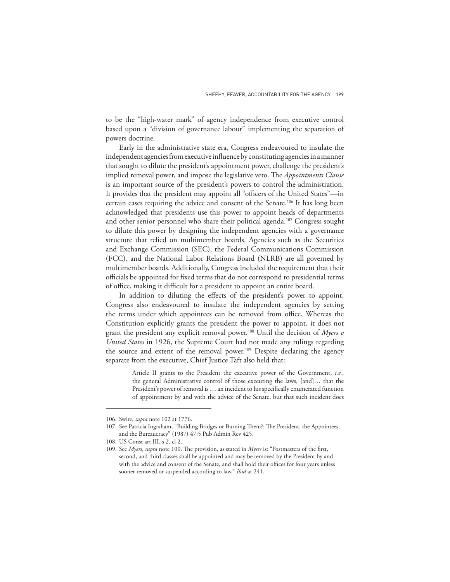to be the "high-water mark" of agency independence from executive control based upon a "division of governance labour" implementing the separation of powers doctrine.

Early in the administrative state era, Congress endeavoured to insulate the independent agencies from executive influence by constituting agencies in a manner that sought to dilute the president's appointment power, challenge the president's implied removal power, and impose the legislative veto. The *Appointments Clause* is an important source of the president's powers to control the administration. It provides that the president may appoint all "officers of the United States"—in certain cases requiring the advice and consent of the Senate.<sup>106</sup> It has long been acknowledged that presidents use this power to appoint heads of departments and other senior personnel who share their political agenda.<sup>107</sup> Congress sought to dilute this power by designing the independent agencies with a governance structure that relied on multimember boards. Agencies such as the Securities and Exchange Commission (SEC), the Federal Communications Commission (FCC), and the National Labor Relations Board (NLRB) are all governed by multimember boards. Additionally, Congress included the requirement that their officials be appointed for fixed terms that do not correspond to presidential terms of office, making it difficult for a president to appoint an entire board.

In addition to diluting the effects of the president's power to appoint, Congress also endeavoured to insulate the independent agencies by setting the terms under which appointees can be removed from office. Whereas the Constitution explicitly grants the president the power to appoint, it does not grant the president any explicit removal power.<sup>108</sup> Until the decision of *Myers v United States* in 1926, the Supreme Court had not made any rulings regarding the source and extent of the removal power.<sup>109</sup> Despite declaring the agency separate from the executive, Chief Justice Taft also held that:

> Article II grants to the President the executive power of the Government, *i.e.*, the general Administrative control of those executing the laws, [and]… that the President's power of removal is … an incident to his specifically enumerated function of appointment by and with the advice of the Senate, but that such incident does

<sup>106.</sup> Swire, *supra* note 102 at 1776.

<sup>107.</sup> See Patricia Ingraham, "Building Bridges or Burning Them?: The President, the Appointees, and the Bureaucracy" (1987) 47:5 Pub Admin Rev 425.

<sup>108.</sup> US Const art III, s 2, cl 2.

<sup>109.</sup> See *Myers*, *supra* note 100. The provision, as stated in *Myers* is: "Postmasters of the first, second, and third classes shall be appointed and may be removed by the President by and with the advice and consent of the Senate, and shall hold their offices for four years unless sooner removed or suspended according to law." *Ibid* at 241.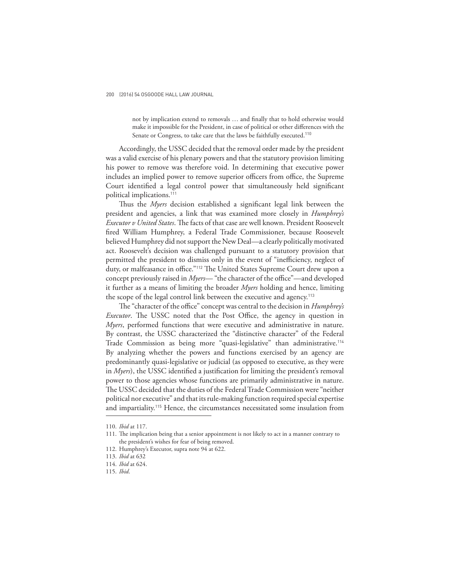not by implication extend to removals … and finally that to hold otherwise would make it impossible for the President, in case of political or other differences with the Senate or Congress, to take care that the laws be faithfully executed.<sup>110</sup>

Accordingly, the USSC decided that the removal order made by the president was a valid exercise of his plenary powers and that the statutory provision limiting his power to remove was therefore void. In determining that executive power includes an implied power to remove superior officers from office, the Supreme Court identified a legal control power that simultaneously held significant political implications.<sup>111</sup>

Thus the *Myers* decision established a significant legal link between the president and agencies, a link that was examined more closely in *Humphrey's Executor v United States*. The facts of that case are well known. President Roosevelt fired William Humphrey, a Federal Trade Commissioner, because Roosevelt believed Humphrey did not support the New Deal—a clearly politically motivated act. Roosevelt's decision was challenged pursuant to a statutory provision that permitted the president to dismiss only in the event of "inefficiency, neglect of duty, or malfeasance in office."<sup>112</sup> The United States Supreme Court drew upon a concept previously raised in *Myers*— "the character of the office"—and developed it further as a means of limiting the broader *Myers* holding and hence, limiting the scope of the legal control link between the executive and agency.<sup>113</sup>

The "character of the office" concept was central to the decision in *Humphrey's Executor*. The USSC noted that the Post Office, the agency in question in *Myers*, performed functions that were executive and administrative in nature. By contrast, the USSC characterized the "distinctive character" of the Federal Trade Commission as being more "quasi-legislative" than administrative.<sup>114</sup> By analyzing whether the powers and functions exercised by an agency are predominantly quasi-legislative or judicial (as opposed to executive, as they were in *Myers*), the USSC identified a justification for limiting the president's removal power to those agencies whose functions are primarily administrative in nature. The USSC decided that the duties of the Federal Trade Commission were "neither political nor executive" and that its rule-making function required special expertise and impartiality.<sup>115</sup> Hence, the circumstances necessitated some insulation from

<sup>110.</sup> *Ibid* at 117.

<sup>111.</sup> The implication being that a senior appointment is not likely to act in a manner contrary to the president's wishes for fear of being removed.

<sup>112.</sup> Humphrey's Executor, supra note 94 at 622.

<sup>113.</sup> *Ibid* at 632

<sup>114.</sup> *Ibid* at 624.

<sup>115.</sup> *Ibid*.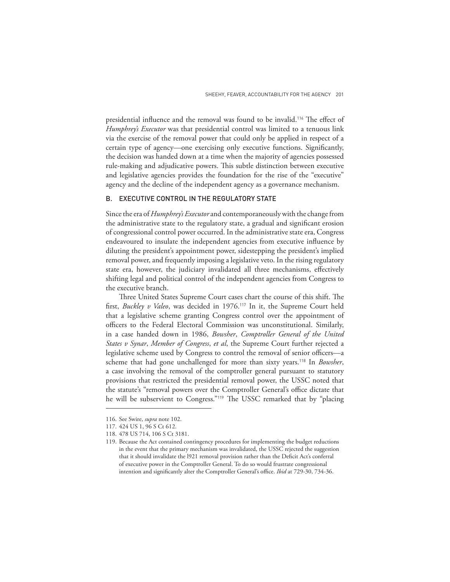presidential influence and the removal was found to be invalid.<sup>116</sup> The effect of *Humphrey's Executor* was that presidential control was limited to a tenuous link via the exercise of the removal power that could only be applied in respect of a certain type of agency—one exercising only executive functions. Significantly, the decision was handed down at a time when the majority of agencies possessed rule-making and adjudicative powers. This subtle distinction between executive and legislative agencies provides the foundation for the rise of the "executive" agency and the decline of the independent agency as a governance mechanism.

# B. EXECUTIVE CONTROL IN THE REGULATORY STATE

Since the era of *Humphrey's Executor* and contemporaneously with the change from the administrative state to the regulatory state, a gradual and significant erosion of congressional control power occurred. In the administrative state era, Congress endeavoured to insulate the independent agencies from executive influence by diluting the president's appointment power, sidestepping the president's implied removal power, and frequently imposing a legislative veto. In the rising regulatory state era, however, the judiciary invalidated all three mechanisms, effectively shifting legal and political control of the independent agencies from Congress to the executive branch.

Three United States Supreme Court cases chart the course of this shift. The first, *Buckley v Valeo*, was decided in 1976.<sup>117</sup> In it, the Supreme Court held that a legislative scheme granting Congress control over the appointment of officers to the Federal Electoral Commission was unconstitutional. Similarly, in a case handed down in 1986, *Bowsher*, *Comptroller General of the United States v Synar*, *Member of Congress*, *et al*, the Supreme Court further rejected a legislative scheme used by Congress to control the removal of senior officers—a scheme that had gone unchallenged for more than sixty years.<sup>118</sup> In *Bowsher*, a case involving the removal of the comptroller general pursuant to statutory provisions that restricted the presidential removal power, the USSC noted that the statute's "removal powers over the Comptroller General's office dictate that he will be subservient to Congress."<sup>119</sup> The USSC remarked that by "placing

<sup>116.</sup> See Swire, *supra* note 102.

<sup>117.</sup> 424 US 1, 96 S Ct 612.

<sup>118.</sup> 478 US 714, 106 S Ct 3181.

<sup>119.</sup> Because the Act contained contingency procedures for implementing the budget reductions in the event that the primary mechanism was invalidated, the USSC rejected the suggestion that it should invalidate the l921 removal provision rather than the Deficit Act's conferral of executive power in the Comptroller General. To do so would frustrate congressional intention and significantly alter the Comptroller General's office. *Ibid* at 729-30, 734-36.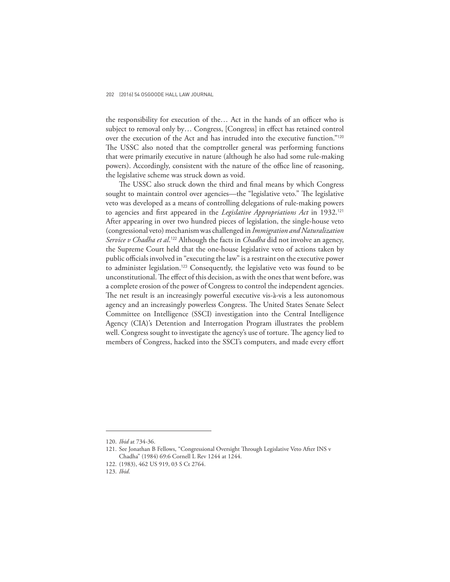the responsibility for execution of the… Act in the hands of an officer who is subject to removal only by… Congress, [Congress] in effect has retained control over the execution of the Act and has intruded into the executive function."<sup>120</sup> The USSC also noted that the comptroller general was performing functions that were primarily executive in nature (although he also had some rule-making powers). Accordingly, consistent with the nature of the office line of reasoning, the legislative scheme was struck down as void.

The USSC also struck down the third and final means by which Congress sought to maintain control over agencies—the "legislative veto." The legislative veto was developed as a means of controlling delegations of rule-making powers to agencies and first appeared in the *Legislative Appropriations Act* in 1932.<sup>121</sup> After appearing in over two hundred pieces of legislation, the single-house veto (congressional veto) mechanism was challenged in *Immigration and Naturalization Service v Chadha et al*. <sup>122</sup> Although the facts in *Chadha* did not involve an agency, the Supreme Court held that the one-house legislative veto of actions taken by public officials involved in "executing the law" is a restraint on the executive power to administer legislation.<sup>123</sup> Consequently, the legislative veto was found to be unconstitutional. The effect of this decision, as with the ones that went before, was a complete erosion of the power of Congress to control the independent agencies. The net result is an increasingly powerful executive vis-à-vis a less autonomous agency and an increasingly powerless Congress. The United States Senate Select Committee on Intelligence (SSCI) investigation into the Central Intelligence Agency (CIA)'s Detention and Interrogation Program illustrates the problem well. Congress sought to investigate the agency's use of torture. The agency lied to members of Congress, hacked into the SSCI's computers, and made every effort

<sup>120.</sup> *Ibid* at 734-36.

<sup>121.</sup> See Jonathan B Fellows, "Congressional Oversight Through Legislative Veto After INS v Chadha" (1984) 69:6 Cornell L Rev 1244 at 1244.

<sup>122.</sup> (1983), 462 US 919, 03 S Ct 2764.

<sup>123.</sup> *Ibid*.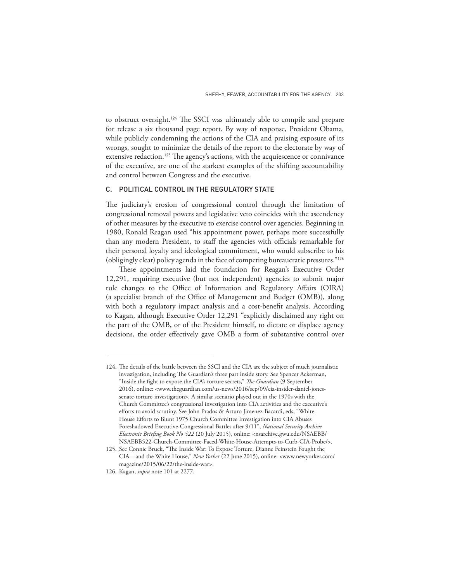to obstruct oversight.<sup>124</sup> The SSCI was ultimately able to compile and prepare for release a six thousand page report. By way of response, President Obama, while publicly condemning the actions of the CIA and praising exposure of its wrongs, sought to minimize the details of the report to the electorate by way of extensive redaction.<sup>125</sup> The agency's actions, with the acquiescence or connivance of the executive, are one of the starkest examples of the shifting accountability and control between Congress and the executive.

## C. POLITICAL CONTROL IN THE REGULATORY STATE

The judiciary's erosion of congressional control through the limitation of congressional removal powers and legislative veto coincides with the ascendency of other measures by the executive to exercise control over agencies. Beginning in 1980, Ronald Reagan used "his appointment power, perhaps more successfully than any modern President, to staff the agencies with officials remarkable for their personal loyalty and ideological commitment, who would subscribe to his (obligingly clear) policy agenda in the face of competing bureaucratic pressures."<sup>126</sup>

These appointments laid the foundation for Reagan's Executive Order 12,291, requiring executive (but not independent) agencies to submit major rule changes to the Office of Information and Regulatory Affairs (OIRA) (a specialist branch of the Office of Management and Budget (OMB)), along with both a regulatory impact analysis and a cost-benefit analysis. According to Kagan, although Executive Order 12,291 "explicitly disclaimed any right on the part of the OMB, or of the President himself, to dictate or displace agency decisions, the order effectively gave OMB a form of substantive control over

<sup>124.</sup> The details of the battle between the SSCI and the CIA are the subject of much journalistic investigation, including The Guardian's three part inside story. See Spencer Ackerman, "Inside the fight to expose the CIA's torture secrets," *The Guardian* (9 September 2016), online: <www.theguardian.com/us-news/2016/sep/09/cia-insider-daniel-jonessenate-torture-investigation>. A similar scenario played out in the 1970s with the Church Committee's congressional investigation into CIA activities and the executive's efforts to avoid scrutiny. See John Prados & Arturo Jimenez-Bacardi, eds, "White House Efforts to Blunt 1975 Church Committee Investigation into CIA Abuses Foreshadowed Executive-Congressional Battles after 9/11", *National Security Archive Electronic Briefing Book No 522* (20 July 2015), online: <nsarchive.gwu.edu/NSAEBB/ NSAEBB522-Church-Committee-Faced-White-House-Attempts-to-Curb-CIA-Probe/>.

<sup>125.</sup> See Connie Bruck, "The Inside War: To Expose Torture, Dianne Feinstein Fought the CIA—and the White House," *New Yorker* (22 June 2015), online: <www.newyorker.com/ magazine/2015/06/22/the-inside-war>.

<sup>126.</sup> Kagan, *supra* note 101 at 2277.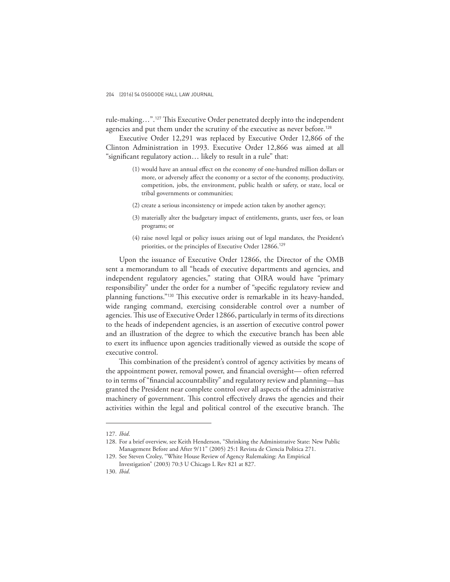rule-making…".<sup>127</sup> This Executive Order penetrated deeply into the independent agencies and put them under the scrutiny of the executive as never before.<sup>128</sup>

Executive Order 12,291 was replaced by Executive Order 12,866 of the Clinton Administration in 1993. Executive Order 12,866 was aimed at all "significant regulatory action… likely to result in a rule" that:

- (1) would have an annual effect on the economy of one-hundred million dollars or more, or adversely affect the economy or a sector of the economy, productivity, competition, jobs, the environment, public health or safety, or state, local or tribal governments or communities;
- (2) create a serious inconsistency or impede action taken by another agency;
- (3) materially alter the budgetary impact of entitlements, grants, user fees, or loan programs; or
- (4) raise novel legal or policy issues arising out of legal mandates, the President's priorities, or the principles of Executive Order 12866.<sup>129</sup>

Upon the issuance of Executive Order 12866, the Director of the OMB sent a memorandum to all "heads of executive departments and agencies, and independent regulatory agencies," stating that OIRA would have "primary responsibility" under the order for a number of "specific regulatory review and planning functions."<sup>130</sup> This executive order is remarkable in its heavy-handed, wide ranging command, exercising considerable control over a number of agencies. This use of Executive Order 12866, particularly in terms of its directions to the heads of independent agencies, is an assertion of executive control power and an illustration of the degree to which the executive branch has been able to exert its influence upon agencies traditionally viewed as outside the scope of executive control.

This combination of the president's control of agency activities by means of the appointment power, removal power, and financial oversight— often referred to in terms of "financial accountability" and regulatory review and planning—has granted the President near complete control over all aspects of the administrative machinery of government. This control effectively draws the agencies and their activities within the legal and political control of the executive branch. The

<sup>127.</sup> *Ibid*.

<sup>128.</sup> For a brief overview, see Keith Henderson, "Shrinking the Administrative State: New Public Management Before and After 9/11" (2005) 25:1 Revista de Ciencia Politica 271.

<sup>129.</sup> See Steven Croley, "White House Review of Agency Rulemaking: An Empirical Investigation" (2003) 70:3 U Chicago L Rev 821 at 827.

<sup>130.</sup> *Ibid*.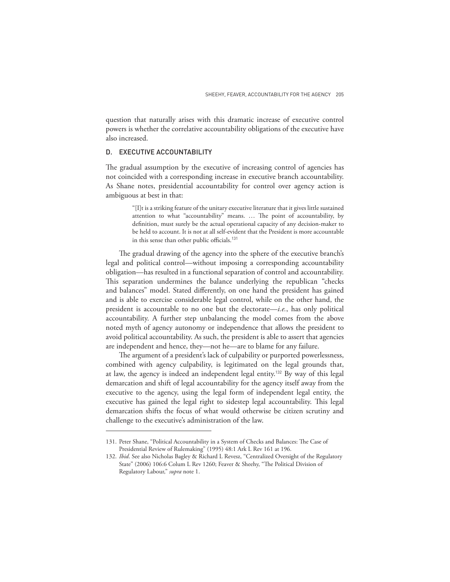question that naturally arises with this dramatic increase of executive control powers is whether the correlative accountability obligations of the executive have also increased.

### D. EXECUTIVE ACCOUNTABILITY

The gradual assumption by the executive of increasing control of agencies has not coincided with a corresponding increase in executive branch accountability. As Shane notes, presidential accountability for control over agency action is ambiguous at best in that:

> "[I]t is a striking feature of the unitary executive literature that it gives little sustained attention to what "accountability" means. … The point of accountability, by definition, must surely be the actual operational capacity of any decision-maker to be held to account. It is not at all self-evident that the President is more accountable in this sense than other public officials.<sup>131</sup>

The gradual drawing of the agency into the sphere of the executive branch's legal and political control—without imposing a corresponding accountability obligation—has resulted in a functional separation of control and accountability. This separation undermines the balance underlying the republican "checks and balances" model. Stated differently, on one hand the president has gained and is able to exercise considerable legal control, while on the other hand, the president is accountable to no one but the electorate—*i.e.*, has only political accountability. A further step unbalancing the model comes from the above noted myth of agency autonomy or independence that allows the president to avoid political accountability. As such, the president is able to assert that agencies are independent and hence, they—not he—are to blame for any failure.

The argument of a president's lack of culpability or purported powerlessness, combined with agency culpability, is legitimated on the legal grounds that, at law, the agency is indeed an independent legal entity.<sup>132</sup> By way of this legal demarcation and shift of legal accountability for the agency itself away from the executive to the agency, using the legal form of independent legal entity, the executive has gained the legal right to sidestep legal accountability. This legal demarcation shifts the focus of what would otherwise be citizen scrutiny and challenge to the executive's administration of the law.

<sup>131.</sup> Peter Shane, "Political Accountability in a System of Checks and Balances: The Case of Presidential Review of Rulemaking" (1995) 48:1 Ark L Rev 161 at 196.

<sup>132.</sup> *Ibid*. See also Nicholas Bagley & Richard L Revesz, "Centralized Oversight of the Regulatory State" (2006) 106:6 Colum L Rev 1260; Feaver & Sheehy, "The Political Division of Regulatory Labour," *supra* note 1.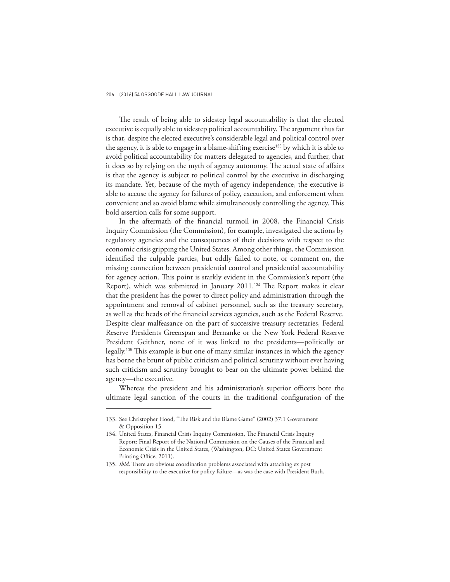The result of being able to sidestep legal accountability is that the elected executive is equally able to sidestep political accountability. The argument thus far is that, despite the elected executive's considerable legal and political control over the agency, it is able to engage in a blame-shifting exercise<sup>133</sup> by which it is able to avoid political accountability for matters delegated to agencies, and further, that it does so by relying on the myth of agency autonomy. The actual state of affairs is that the agency is subject to political control by the executive in discharging its mandate. Yet, because of the myth of agency independence, the executive is able to accuse the agency for failures of policy, execution, and enforcement when convenient and so avoid blame while simultaneously controlling the agency. This bold assertion calls for some support.

In the aftermath of the financial turmoil in 2008, the Financial Crisis Inquiry Commission (the Commission), for example, investigated the actions by regulatory agencies and the consequences of their decisions with respect to the economic crisis gripping the United States. Among other things, the Commission identified the culpable parties, but oddly failed to note, or comment on, the missing connection between presidential control and presidential accountability for agency action. This point is starkly evident in the Commission's report (the Report), which was submitted in January 2011.<sup>134</sup> The Report makes it clear that the president has the power to direct policy and administration through the appointment and removal of cabinet personnel, such as the treasury secretary, as well as the heads of the financial services agencies, such as the Federal Reserve. Despite clear malfeasance on the part of successive treasury secretaries, Federal Reserve Presidents Greenspan and Bernanke or the New York Federal Reserve President Geithner, none of it was linked to the presidents—politically or legally.<sup>135</sup> This example is but one of many similar instances in which the agency has borne the brunt of public criticism and political scrutiny without ever having such criticism and scrutiny brought to bear on the ultimate power behind the agency—the executive.

Whereas the president and his administration's superior officers bore the ultimate legal sanction of the courts in the traditional configuration of the

<sup>133.</sup> See Christopher Hood, "The Risk and the Blame Game" (2002) 37:1 Government & Opposition 15.

<sup>134.</sup> United States, Financial Crisis Inquiry Commission, The Financial Crisis Inquiry Report: Final Report of the National Commission on the Causes of the Financial and Economic Crisis in the United States, (Washington, DC: United States Government Printing Office, 2011).

<sup>135.</sup> *Ibid*. There are obvious coordination problems associated with attaching ex post responsibility to the executive for policy failure—as was the case with President Bush.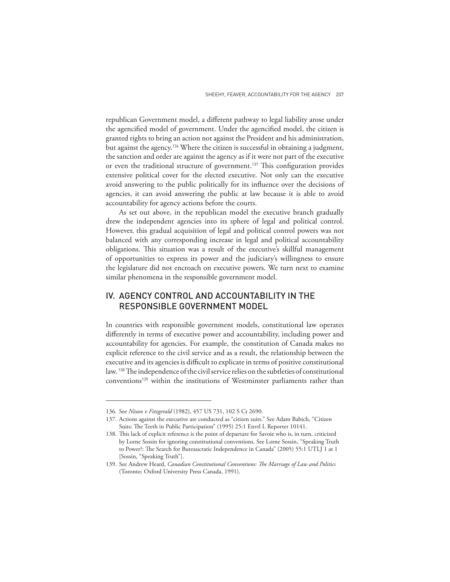republican Government model, a different pathway to legal liability arose under the agencified model of government. Under the agencified model, the citizen is granted rights to bring an action not against the President and his administration, but against the agency.<sup>136</sup> Where the citizen is successful in obtaining a judgment, the sanction and order are against the agency as if it were not part of the executive or even the traditional structure of government.<sup>137</sup> This configuration provides extensive political cover for the elected executive. Not only can the executive avoid answering to the public politically for its influence over the decisions of agencies, it can avoid answering the public at law because it is able to avoid accountability for agency actions before the courts.

As set out above, in the republican model the executive branch gradually drew the independent agencies into its sphere of legal and political control. However, this gradual acquisition of legal and political control powers was not balanced with any corresponding increase in legal and political accountability obligations. This situation was a result of the executive's skillful management of opportunities to express its power and the judiciary's willingness to ensure the legislature did not encroach on executive powers. We turn next to examine similar phenomena in the responsible government model.

# IV. AGENCY CONTROL AND ACCOUNTABILITY IN THE RESPONSIBLE GOVERNMENT MODEL

In countries with responsible government models, constitutional law operates differently in terms of executive power and accountability, including power and accountability for agencies. For example, the constitution of Canada makes no explicit reference to the civil service and as a result, the relationship between the executive and its agencies is difficult to explicate in terms of positive constitutional law. <sup>138</sup> The independence of the civil service relies on the subtleties of constitutional conventions<sup>139</sup> within the institutions of Westminster parliaments rather than

<sup>136.</sup> See *Nixon v Fitzgerald* (1982), 457 US 731, 102 S Ct 2690.

<sup>137.</sup> Actions against the executive are conducted as "citizen suits." See Adam Babich, "Citizen Suits: The Teeth in Public Participation" (1995) 25:1 Envtl L Reporter 10141.

<sup>138.</sup> This lack of explicit reference is the point of departure for Savoie who is, in turn, criticized by Lorne Sossin for ignoring constitutional conventions. See Lorne Sossin, "Speaking Truth to Power?: The Search for Bureaucratic Independence in Canada" (2005) 55:1 UTLJ 1 at 1 [Sossin, "Speaking Truth"].

<sup>139.</sup> See Andrew Heard, *Canadian Constitutional Conventions: The Marriage of Law and Politics* (Toronto: Oxford University Press Canada, 1991).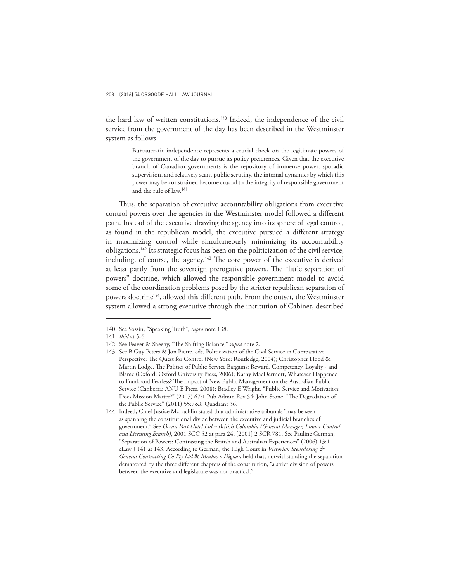the hard law of written constitutions.<sup>140</sup> Indeed, the independence of the civil service from the government of the day has been described in the Westminster system as follows:

> Bureaucratic independence represents a crucial check on the legitimate powers of the government of the day to pursue its policy preferences. Given that the executive branch of Canadian governments is the repository of immense power, sporadic supervision, and relatively scant public scrutiny, the internal dynamics by which this power may be constrained become crucial to the integrity of responsible government and the rule of law.<sup>141</sup>

Thus, the separation of executive accountability obligations from executive control powers over the agencies in the Westminster model followed a different path. Instead of the executive drawing the agency into its sphere of legal control, as found in the republican model, the executive pursued a different strategy in maximizing control while simultaneously minimizing its accountability obligations.<sup>142</sup> Its strategic focus has been on the politicization of the civil service, including, of course, the agency.<sup>143</sup> The core power of the executive is derived at least partly from the sovereign prerogative powers. The "little separation of powers" doctrine, which allowed the responsible government model to avoid some of the coordination problems posed by the stricter republican separation of powers doctrine<sup>144</sup>, allowed this different path. From the outset, the Westminster system allowed a strong executive through the institution of Cabinet, described

<sup>140.</sup> See Sossin, "Speaking Truth", *supra* note 138.

<sup>141.</sup> *Ibid* at 5-6.

<sup>142.</sup> See Feaver & Sheehy, "The Shifting Balance," *supra* note 2.

<sup>143.</sup> See B Guy Peters & Jon Pierre, eds, Politicization of the Civil Service in Comparative Perspective: The Quest for Control (New York: Routledge, 2004); Christopher Hood & Martin Lodge, The Politics of Public Service Bargains: Reward, Competency, Loyalty - and Blame (Oxford: Oxford University Press, 2006); Kathy MacDermott, Whatever Happened to Frank and Fearless? The Impact of New Public Management on the Australian Public Service (Canberra: ANU E Press, 2008); Bradley E Wright, "Public Service and Motivation: Does Mission Matter?" (2007) 67:1 Pub Admin Rev 54; John Stone, "The Degradation of the Public Service" (2011) 55:7&8 Quadrant 36.

<sup>144.</sup> Indeed, Chief Justice McLachlin stated that administrative tribunals "may be seen as spanning the constitutional divide between the executive and judicial branches of government." See *Ocean Port Hotel Ltd v British Columbia (General Manager, Liquor Control and Licensing Branch)*, 2001 SCC 52 at para 24, [2001] 2 SCR 781. See Pauline German, "Separation of Powers: Contrasting the British and Australian Experiences" (2006) 13:1 eLaw J 141 at 143. According to German, the High Court in *Victorian Stevedoring & General Contracting Co Pty Ltd* & *Meakes v Dignan* held that, notwithstanding the separation demarcated by the three different chapters of the constitution, "a strict division of powers between the executive and legislature was not practical."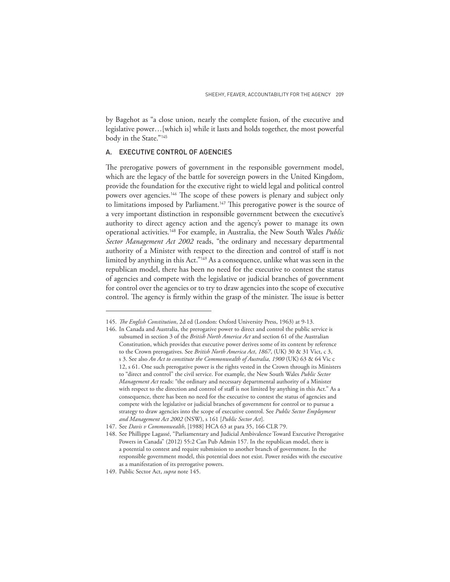by Bagehot as "a close union, nearly the complete fusion, of the executive and legislative power…[which is] while it lasts and holds together, the most powerful body in the State."<sup>145</sup>

### A. EXECUTIVE CONTROL OF AGENCIES

The prerogative powers of government in the responsible government model, which are the legacy of the battle for sovereign powers in the United Kingdom, provide the foundation for the executive right to wield legal and political control powers over agencies.<sup>146</sup> The scope of these powers is plenary and subject only to limitations imposed by Parliament.<sup>147</sup> This prerogative power is the source of a very important distinction in responsible government between the executive's authority to direct agency action and the agency's power to manage its own operational activities.<sup>148</sup> For example, in Australia, the New South Wales *Public Sector Management Act 2002* reads, "the ordinary and necessary departmental authority of a Minister with respect to the direction and control of staff is not limited by anything in this Act."<sup>149</sup> As a consequence, unlike what was seen in the republican model, there has been no need for the executive to contest the status of agencies and compete with the legislative or judicial branches of government for control over the agencies or to try to draw agencies into the scope of executive control. The agency is firmly within the grasp of the minister. The issue is better

<sup>145.</sup> *The English Constitution*, 2d ed (London: Oxford University Press, 1963) at 9-13.

<sup>146.</sup> In Canada and Australia, the prerogative power to direct and control the public service is subsumed in section 3 of the *British North America Act* and section 61 of the Australian Constitution, which provides that executive power derives some of its content by reference to the Crown prerogatives. See *British North America Act*, *1867*, (UK) 30 & 31 Vict, c 3, s 3. See also *An Act to constitute the Commonwealth of Australia*, *1900* (UK) 63 & 64 Vic c 12, s 61. One such prerogative power is the rights vested in the Crown through its Ministers to "direct and control" the civil service. For example, the New South Wales *Public Sector Management Act* reads: "the ordinary and necessary departmental authority of a Minister with respect to the direction and control of staff is not limited by anything in this Act." As a consequence, there has been no need for the executive to contest the status of agencies and compete with the legislative or judicial branches of government for control or to pursue a strategy to draw agencies into the scope of executive control. See *Public Sector Employment and Management Act 2002* (NSW), s 161 [*Public Sector Act*].

<sup>147.</sup> See *Davis v Commonwealth*, [1988] HCA 63 at para 35, 166 CLR 79.

<sup>148.</sup> See Phillippe Lagassé, "Parliamentary and Judicial Ambivalence Toward Executive Prerogative Powers in Canada" (2012) 55:2 Can Pub Admin 157. In the republican model, there is a potential to contest and require submission to another branch of government. In the responsible government model, this potential does not exist. Power resides with the executive as a manifestation of its prerogative powers.

<sup>149.</sup> Public Sector Act, *supra* note 145.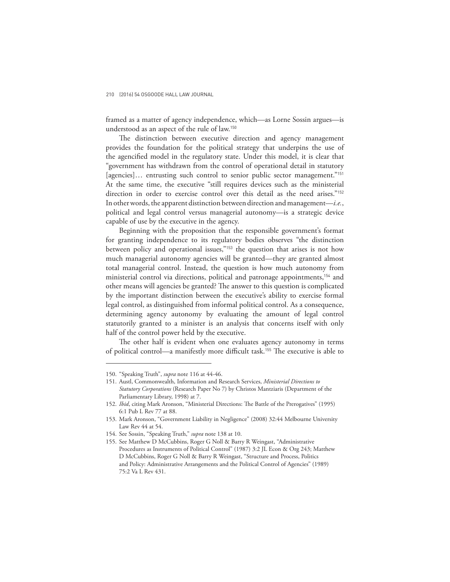framed as a matter of agency independence, which—as Lorne Sossin argues—is understood as an aspect of the rule of law.<sup>150</sup>

The distinction between executive direction and agency management provides the foundation for the political strategy that underpins the use of the agencified model in the regulatory state. Under this model, it is clear that "government has withdrawn from the control of operational detail in statutory [agencies]... entrusting such control to senior public sector management."<sup>151</sup> At the same time, the executive "still requires devices such as the ministerial direction in order to exercise control over this detail as the need arises."<sup>152</sup> In other words, the apparent distinction between direction and management—*i.e.*, political and legal control versus managerial autonomy—is a strategic device capable of use by the executive in the agency.

Beginning with the proposition that the responsible government's format for granting independence to its regulatory bodies observes "the distinction between policy and operational issues,"<sup>153</sup> the question that arises is not how much managerial autonomy agencies will be granted—they are granted almost total managerial control. Instead, the question is how much autonomy from ministerial control via directions, political and patronage appointments,<sup>154</sup> and other means will agencies be granted? The answer to this question is complicated by the important distinction between the executive's ability to exercise formal legal control, as distinguished from informal political control. As a consequence, determining agency autonomy by evaluating the amount of legal control statutorily granted to a minister is an analysis that concerns itself with only half of the control power held by the executive.

The other half is evident when one evaluates agency autonomy in terms of political control—a manifestly more difficult task.<sup>155</sup> The executive is able to

<sup>150.</sup> "Speaking Truth", *supra* note 116 at 44-46.

<sup>151.</sup> Austl, Commonwealth, Information and Research Services, *Ministerial Directions to Statutory Corporations* (Research Paper No 7) by Christos Mantziaris (Department of the Parliamentary Library, 1998) at 7.

<sup>152.</sup> *Ibid*, citing Mark Aronson, "Ministerial Directions: The Battle of the Prerogatives" (1995) 6:1 Pub L Rev 77 at 88.

<sup>153.</sup> Mark Aronson, "Government Liability in Negligence" (2008) 32:44 Melbourne University Law Rev 44 at 54.

<sup>154.</sup> See Sossin, "Speaking Truth," *supra* note 138 at 10.

<sup>155.</sup> See Matthew D McCubbins, Roger G Noll & Barry R Weingast, "Administrative Procedures as Instruments of Political Control" (1987) 3:2 JL Econ & Org 243; Matthew D McCubbins, Roger G Noll & Barry R Weingast, "Structure and Process, Politics and Policy: Administrative Arrangements and the Political Control of Agencies" (1989) 75:2 Va L Rev 431.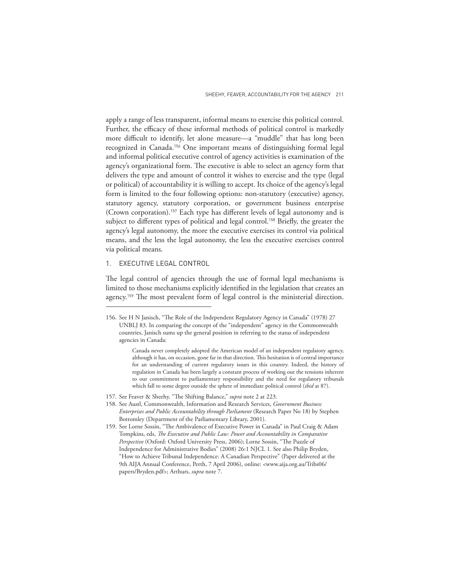apply a range of less transparent, informal means to exercise this political control. Further, the efficacy of these informal methods of political control is markedly more difficult to identify, let alone measure—a "muddle" that has long been recognized in Canada.<sup>156</sup> One important means of distinguishing formal legal and informal political executive control of agency activities is examination of the agency's organizational form. The executive is able to select an agency form that delivers the type and amount of control it wishes to exercise and the type (legal or political) of accountability it is willing to accept. Its choice of the agency's legal form is limited to the four following options: non-statutory (executive) agency, statutory agency, statutory corporation, or government business enterprise (Crown corporation).<sup>157</sup> Each type has different levels of legal autonomy and is subject to different types of political and legal control.<sup>158</sup> Briefly, the greater the agency's legal autonomy, the more the executive exercises its control via political means, and the less the legal autonomy, the less the executive exercises control via political means.

## 1. EXECUTIVE LEGAL CONTROL

The legal control of agencies through the use of formal legal mechanisms is limited to those mechanisms explicitly identified in the legislation that creates an agency.<sup>159</sup> The most prevalent form of legal control is the ministerial direction.

<sup>156.</sup> See H N Janisch, "The Role of the Independent Regulatory Agency in Canada" (1978) 27 UNBLJ 83. In comparing the concept of the "independent" agency in the Commonwealth countries, Janisch sums up the general position in referring to the status of independent agencies in Canada:

Canada never completely adopted the American model of an independent regulatory agency, although it has, on occasion, gone far in that direction. This hesitation is of central importance for an understanding of current regulatory issues in this country. Indeed, the history of regulation in Canada has been largely a constant process of working out the tensions inherent to our commitment to parliamentary responsibility and the need for regulatory tribunals which fall to some degree outside the sphere of immediate political control (*ibid* at 87).

<sup>157.</sup> See Feaver & Sheehy, "The Shifting Balance," *supra* note 2 at 223.

<sup>158.</sup> See Austl, Commonwealth, Information and Research Services, *Government Business Enterprises and Public Accountability through Parliament* (Research Paper No 18) by Stephen Bottomley (Department of the Parliamentary Library, 2001).

<sup>159.</sup> See Lorne Sossin, "The Ambivalence of Executive Power in Canada" in Paul Craig & Adam Tompkins, eds, *The Executive and Public Law: Power and Accountability in Comparative Perspective* (Oxford: Oxford University Press, 2006); Lorne Sossin, "The Puzzle of Independence for Administrative Bodies" (2008) 26:1 NJCL 1. See also Philip Bryden, "How to Achieve Tribunal Independence: A Canadian Perspective" (Paper delivered at the 9th AIJA Annual Conference, Perth, 7 April 2006), online: <www.aija.org.au/Tribs06/ papers/Bryden.pdf>; Arthurs, *supra* note 7.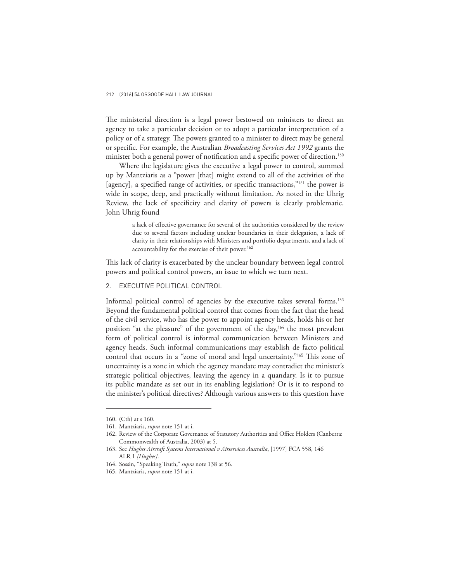The ministerial direction is a legal power bestowed on ministers to direct an agency to take a particular decision or to adopt a particular interpretation of a policy or of a strategy. The powers granted to a minister to direct may be general or specific. For example, the Australian *Broadcasting Services Act 1992* grants the minister both a general power of notification and a specific power of direction.<sup>160</sup>

Where the legislature gives the executive a legal power to control, summed up by Mantziaris as a "power [that] might extend to all of the activities of the [agency], a specified range of activities, or specific transactions,"<sup>161</sup> the power is wide in scope, deep, and practically without limitation. As noted in the Uhrig Review, the lack of specificity and clarity of powers is clearly problematic. John Uhrig found

> a lack of effective governance for several of the authorities considered by the review due to several factors including unclear boundaries in their delegation, a lack of clarity in their relationships with Ministers and portfolio departments, and a lack of accountability for the exercise of their power.<sup>162</sup>

This lack of clarity is exacerbated by the unclear boundary between legal control powers and political control powers, an issue to which we turn next.

2. EXECUTIVE POLITICAL CONTROL

Informal political control of agencies by the executive takes several forms.<sup>163</sup> Beyond the fundamental political control that comes from the fact that the head of the civil service, who has the power to appoint agency heads, holds his or her position "at the pleasure" of the government of the day,<sup>164</sup> the most prevalent form of political control is informal communication between Ministers and agency heads. Such informal communications may establish de facto political control that occurs in a "zone of moral and legal uncertainty."<sup>165</sup> This zone of uncertainty is a zone in which the agency mandate may contradict the minister's strategic political objectives, leaving the agency in a quandary. Is it to pursue its public mandate as set out in its enabling legislation? Or is it to respond to the minister's political directives? Although various answers to this question have

<sup>160.</sup> (Cth) at s 160.

<sup>161.</sup> Mantziaris, *supra* note 151 at i.

<sup>162.</sup> Review of the Corporate Governance of Statutory Authorities and Office Holders (Canberra: Commonwealth of Australia, 2003) at 5.

<sup>163.</sup> See *Hughes Aircraft Systems International v Airservices Australia*, [1997] FCA 558, 146 ALR 1 *[Hughes]*.

<sup>164.</sup> Sossin, "Speaking Truth," *supra* note 138 at 56.

<sup>165.</sup> Mantziaris, *supra* note 151 at i.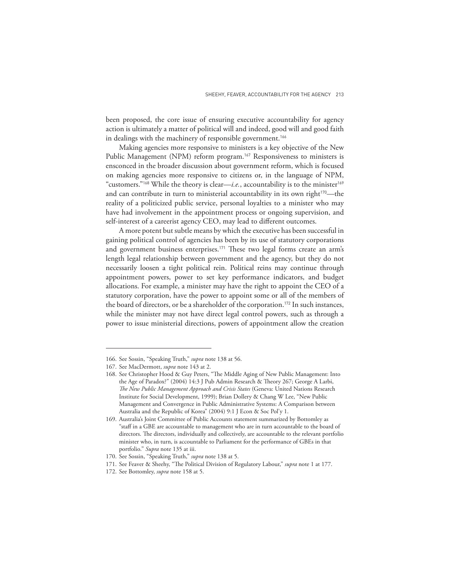been proposed, the core issue of ensuring executive accountability for agency action is ultimately a matter of political will and indeed, good will and good faith in dealings with the machinery of responsible government.<sup>166</sup>

Making agencies more responsive to ministers is a key objective of the New Public Management (NPM) reform program.<sup>167</sup> Responsiveness to ministers is ensconced in the broader discussion about government reform, which is focused on making agencies more responsive to citizens or, in the language of NPM, "customers."<sup>168</sup> While the theory is clear—*i.e.*, accountability is to the minister<sup>169</sup> and can contribute in turn to ministerial accountability in its own right<sup>170</sup>—the reality of a politicized public service, personal loyalties to a minister who may have had involvement in the appointment process or ongoing supervision, and self-interest of a careerist agency CEO, may lead to different outcomes.

A more potent but subtle means by which the executive has been successful in gaining political control of agencies has been by its use of statutory corporations and government business enterprises.<sup>171</sup> These two legal forms create an arm's length legal relationship between government and the agency, but they do not necessarily loosen a tight political rein. Political reins may continue through appointment powers, power to set key performance indicators, and budget allocations. For example, a minister may have the right to appoint the CEO of a statutory corporation, have the power to appoint some or all of the members of the board of directors, or be a shareholder of the corporation.<sup>172</sup> In such instances, while the minister may not have direct legal control powers, such as through a power to issue ministerial directions, powers of appointment allow the creation

<sup>166.</sup> See Sossin, "Speaking Truth," *supra* note 138 at 56.

<sup>167.</sup> See MacDermott, *supra* note 143 at 2.

<sup>168.</sup> See Christopher Hood & Guy Peters, "The Middle Aging of New Public Management: Into the Age of Paradox?" (2004) 14:3 J Pub Admin Research & Theory 267; George A Larbi, *The New Public Management Approach and Crisis States* (Geneva: United Nations Research Institute for Social Development, 1999); Brian Dollery & Chang W Lee, "New Public Management and Convergence in Public Administrative Systems: A Comparison between Australia and the Republic of Korea" (2004) 9:1 J Econ & Soc Pol'y 1.

<sup>169.</sup> Australia's Joint Committee of Public Accounts statement summarized by Bottomley as "staff in a GBE are accountable to management who are in turn accountable to the board of directors. The directors, individually and collectively, are accountable to the relevant portfolio minister who, in turn, is accountable to Parliament for the performance of GBEs in that portfolio." *Supra* note 135 at iii.

<sup>170.</sup> See Sossin, "Speaking Truth," *supra* note 138 at 5.

<sup>171.</sup> See Feaver & Sheehy, "The Political Division of Regulatory Labour," *supra* note 1 at 177.

<sup>172.</sup> See Bottomley, *supra* note 158 at 5.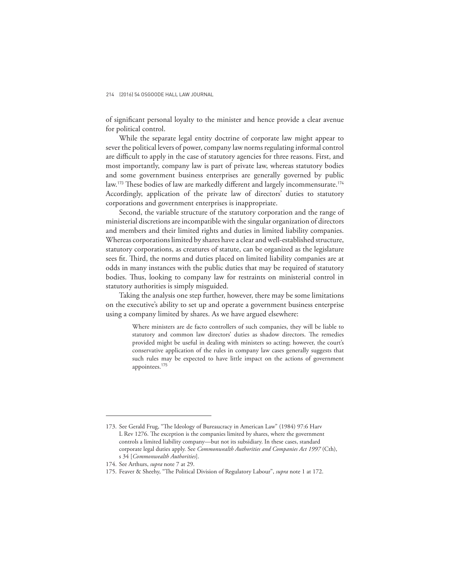of significant personal loyalty to the minister and hence provide a clear avenue for political control.

While the separate legal entity doctrine of corporate law might appear to sever the political levers of power, company law norms regulating informal control are difficult to apply in the case of statutory agencies for three reasons. First, and most importantly, company law is part of private law, whereas statutory bodies and some government business enterprises are generally governed by public law.<sup>173</sup> These bodies of law are markedly different and largely incommensurate.<sup>174</sup> Accordingly, application of the private law of directors' duties to statutory corporations and government enterprises is inappropriate.

Second, the variable structure of the statutory corporation and the range of ministerial discretions are incompatible with the singular organization of directors and members and their limited rights and duties in limited liability companies. Whereas corporations limited by shares have a clear and well-established structure, statutory corporations, as creatures of statute, can be organized as the legislature sees fit. Third, the norms and duties placed on limited liability companies are at odds in many instances with the public duties that may be required of statutory bodies. Thus, looking to company law for restraints on ministerial control in statutory authorities is simply misguided.

Taking the analysis one step further, however, there may be some limitations on the executive's ability to set up and operate a government business enterprise using a company limited by shares. As we have argued elsewhere:

> Where ministers are de facto controllers of such companies, they will be liable to statutory and common law directors' duties as shadow directors. The remedies provided might be useful in dealing with ministers so acting; however, the court's conservative application of the rules in company law cases generally suggests that such rules may be expected to have little impact on the actions of government appointees.<sup>175</sup>

<sup>173.</sup> See Gerald Frug, "The Ideology of Bureaucracy in American Law" (1984) 97:6 Harv L Rev 1276. The exception is the companies limited by shares, where the government controls a limited liability company—but not its subsidiary. In these cases, standard corporate legal duties apply. See *Commonwealth Authorities and Companies Act 1997* (Cth), s 34 [*Commonwealth Authorities*].

<sup>174.</sup> See Arthurs, *supra* note 7 at 29.

<sup>175.</sup> Feaver & Sheehy, "The Political Division of Regulatory Labour", *supra* note 1 at 172.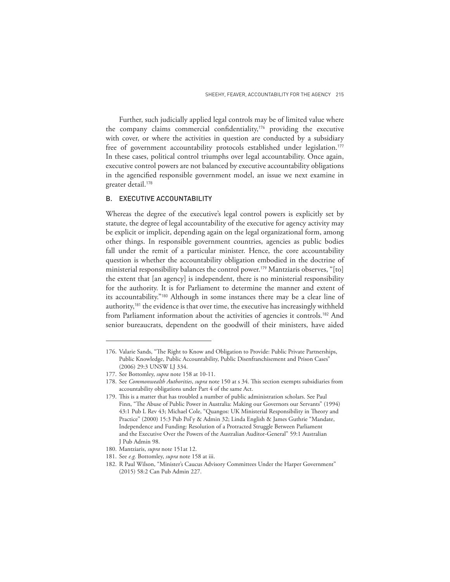Further, such judicially applied legal controls may be of limited value where the company claims commercial confidentiality,<sup>176</sup> providing the executive with cover, or where the activities in question are conducted by a subsidiary free of government accountability protocols established under legislation.<sup>177</sup> In these cases, political control triumphs over legal accountability. Once again, executive control powers are not balanced by executive accountability obligations in the agencified responsible government model, an issue we next examine in greater detail.<sup>178</sup>

### B. EXECUTIVE ACCOUNTABILITY

Whereas the degree of the executive's legal control powers is explicitly set by statute, the degree of legal accountability of the executive for agency activity may be explicit or implicit, depending again on the legal organizational form, among other things. In responsible government countries, agencies as public bodies fall under the remit of a particular minister. Hence, the core accountability question is whether the accountability obligation embodied in the doctrine of ministerial responsibility balances the control power.<sup>179</sup> Mantziaris observes, "[to] the extent that [an agency] is independent, there is no ministerial responsibility for the authority. It is for Parliament to determine the manner and extent of its accountability."<sup>180</sup> Although in some instances there may be a clear line of authority, $181$  the evidence is that over time, the executive has increasingly withheld from Parliament information about the activities of agencies it controls.<sup>182</sup> And senior bureaucrats, dependent on the goodwill of their ministers, have aided

<sup>176.</sup> Valarie Sands, "The Right to Know and Obligation to Provide: Public Private Partnerships, Public Knowledge, Public Accountability, Public Disenfranchisement and Prison Cases" (2006) 29:3 UNSW LJ 334.

<sup>177.</sup> See Bottomley, *supra* note 158 at 10-11.

<sup>178.</sup> See *Commonwealth Authorities*, *supra* note 150 at s 34. This section exempts subsidiaries from accountability obligations under Part 4 of the same Act.

<sup>179.</sup> This is a matter that has troubled a number of public administration scholars. See Paul Finn, "The Abuse of Public Power in Australia: Making our Governors our Servants" (1994) 43:1 Pub L Rev 43; Michael Cole, "Quangos: UK Ministerial Responsibility in Theory and Practice" (2000) 15:3 Pub Pol'y & Admin 32; Linda English & James Guthrie "Mandate, Independence and Funding: Resolution of a Protracted Struggle Between Parliament and the Executive Over the Powers of the Australian Auditor-General" 59:1 Australian J Pub Admin 98.

<sup>180.</sup> Mantziaris, *supra* note 151at 12.

<sup>181.</sup> See *e.g.* Bottomley, *supra* note 158 at iii.

<sup>182.</sup> R Paul Wilson, "Minister's Caucus Advisory Committees Under the Harper Government" (2015) 58:2 Can Pub Admin 227.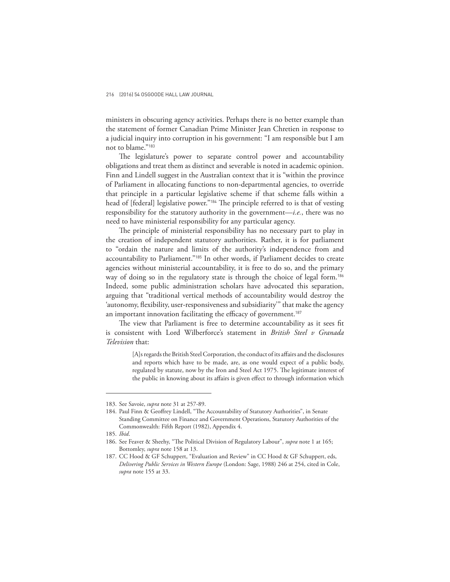ministers in obscuring agency activities. Perhaps there is no better example than the statement of former Canadian Prime Minister Jean Chretien in response to a judicial inquiry into corruption in his government: "I am responsible but I am not to blame."<sup>183</sup>

The legislature's power to separate control power and accountability obligations and treat them as distinct and severable is noted in academic opinion. Finn and Lindell suggest in the Australian context that it is "within the province of Parliament in allocating functions to non-departmental agencies, to override that principle in a particular legislative scheme if that scheme falls within a head of [federal] legislative power."<sup>184</sup> The principle referred to is that of vesting responsibility for the statutory authority in the government—*i.e.*, there was no need to have ministerial responsibility for any particular agency.

The principle of ministerial responsibility has no necessary part to play in the creation of independent statutory authorities. Rather, it is for parliament to "ordain the nature and limits of the authority's independence from and accountability to Parliament."<sup>185</sup> In other words, if Parliament decides to create agencies without ministerial accountability, it is free to do so, and the primary way of doing so in the regulatory state is through the choice of legal form.<sup>186</sup> Indeed, some public administration scholars have advocated this separation, arguing that "traditional vertical methods of accountability would destroy the 'autonomy, flexibility, user-responsiveness and subsidiarity'" that make the agency an important innovation facilitating the efficacy of government.<sup>187</sup>

The view that Parliament is free to determine accountability as it sees fit is consistent with Lord Wilberforce's statement in *British Steel v Granada Television* that:

> [A]s regards the British Steel Corporation, the conduct of its affairs and the disclosures and reports which have to be made, are, as one would expect of a public body, regulated by statute, now by the Iron and Steel Act 1975. The legitimate interest of the public in knowing about its affairs is given effect to through information which

<sup>183.</sup> See Savoie, *supra* note 31 at 257-89.

<sup>184.</sup> Paul Finn & Geoffrey Lindell, "The Accountability of Statutory Authorities", in Senate Standing Committee on Finance and Government Operations, Statutory Authorities of the Commonwealth: Fifth Report (1982), Appendix 4.

<sup>185.</sup> *Ibid*.

<sup>186.</sup> See Feaver & Sheehy, "The Political Division of Regulatory Labour", *supra* note 1 at 165; Bottomley, *supra* note 158 at 13.

<sup>187.</sup> CC Hood & GF Schuppert, "Evaluation and Review" in CC Hood & GF Schuppert, eds, *Delivering Public Services in Western Europe* (London: Sage, 1988) 246 at 254, cited in Cole, *supra* note 155 at 33.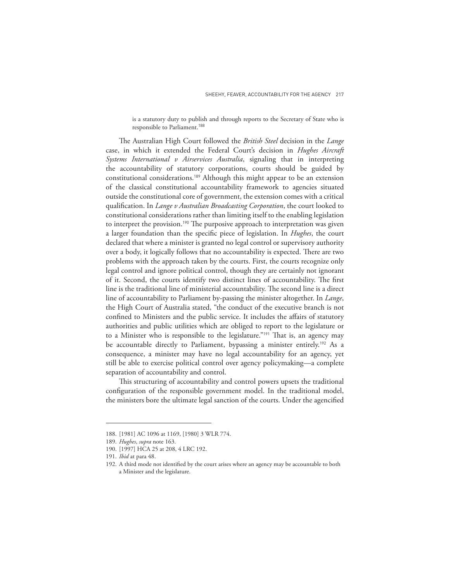is a statutory duty to publish and through reports to the Secretary of State who is responsible to Parliament.<sup>188</sup>

The Australian High Court followed the *British Steel* decision in the *Lange* case, in which it extended the Federal Court's decision in *Hughes Aircraft Systems International v Airservices Australia*, signaling that in interpreting the accountability of statutory corporations, courts should be guided by constitutional considerations.<sup>189</sup> Although this might appear to be an extension of the classical constitutional accountability framework to agencies situated outside the constitutional core of government, the extension comes with a critical qualification. In *Lange v Australian Broadcasting Corporation*, the court looked to constitutional considerations rather than limiting itself to the enabling legislation to interpret the provision.<sup>190</sup> The purposive approach to interpretation was given a larger foundation than the specific piece of legislation. In *Hughes*, the court declared that where a minister is granted no legal control or supervisory authority over a body, it logically follows that no accountability is expected. There are two problems with the approach taken by the courts. First, the courts recognize only legal control and ignore political control, though they are certainly not ignorant of it. Second, the courts identify two distinct lines of accountability. The first line is the traditional line of ministerial accountability. The second line is a direct line of accountability to Parliament by-passing the minister altogether. In *Lange*, the High Court of Australia stated, "the conduct of the executive branch is not confined to Ministers and the public service. It includes the affairs of statutory authorities and public utilities which are obliged to report to the legislature or to a Minister who is responsible to the legislature."<sup>191</sup> That is, an agency may be accountable directly to Parliament, bypassing a minister entirely.<sup>192</sup> As a consequence, a minister may have no legal accountability for an agency, yet still be able to exercise political control over agency policymaking—a complete separation of accountability and control.

This structuring of accountability and control powers upsets the traditional configuration of the responsible government model. In the traditional model, the ministers bore the ultimate legal sanction of the courts. Under the agencified

<sup>188.</sup> [1981] AC 1096 at 1169, [1980] 3 WLR 774.

<sup>189.</sup> *Hughes*, *supra* note 163.

<sup>190.</sup> [1997] HCA 25 at 208, 4 LRC 192.

<sup>191.</sup> *Ibid* at para 48.

<sup>192.</sup> A third mode not identified by the court arises where an agency may be accountable to both a Minister and the legislature.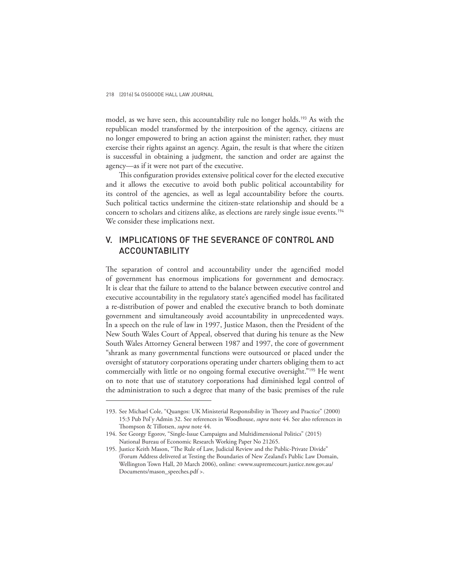model, as we have seen, this accountability rule no longer holds.<sup>193</sup> As with the republican model transformed by the interposition of the agency, citizens are no longer empowered to bring an action against the minister; rather, they must exercise their rights against an agency. Again, the result is that where the citizen is successful in obtaining a judgment, the sanction and order are against the agency—as if it were not part of the executive.

This configuration provides extensive political cover for the elected executive and it allows the executive to avoid both public political accountability for its control of the agencies, as well as legal accountability before the courts. Such political tactics undermine the citizen-state relationship and should be a concern to scholars and citizens alike, as elections are rarely single issue events.<sup>194</sup> We consider these implications next.

# V. IMPLICATIONS OF THE SEVERANCE OF CONTROL AND ACCOUNTABILITY

The separation of control and accountability under the agencified model of government has enormous implications for government and democracy. It is clear that the failure to attend to the balance between executive control and executive accountability in the regulatory state's agencified model has facilitated a re-distribution of power and enabled the executive branch to both dominate government and simultaneously avoid accountability in unprecedented ways. In a speech on the rule of law in 1997, Justice Mason, then the President of the New South Wales Court of Appeal, observed that during his tenure as the New South Wales Attorney General between 1987 and 1997, the core of government "shrank as many governmental functions were outsourced or placed under the oversight of statutory corporations operating under charters obliging them to act commercially with little or no ongoing formal executive oversight."<sup>195</sup> He went on to note that use of statutory corporations had diminished legal control of the administration to such a degree that many of the basic premises of the rule

<sup>193.</sup> See Michael Cole, "Quangos: UK Ministerial Responsibility in Theory and Practice" (2000) 15:3 Pub Pol'y Admin 32. See references in Woodhouse, *supra* note 44. See also references in Thompson & Tillotsen, *supra* note 44.

<sup>194.</sup> See Georgy Egorov, "Single-Issue Campaigns and Multidimensional Politics" (2015) National Bureau of Economic Research Working Paper No 21265.

<sup>195.</sup> Justice Keith Mason, "The Rule of Law, Judicial Review and the Public-Private Divide" (Forum Address delivered at Testing the Boundaries of New Zealand's Public Law Domain, Wellington Town Hall, 20 March 2006), online: <www.supremecourt.justice.nsw.gov.au/ Documents/mason\_speeches.pdf >.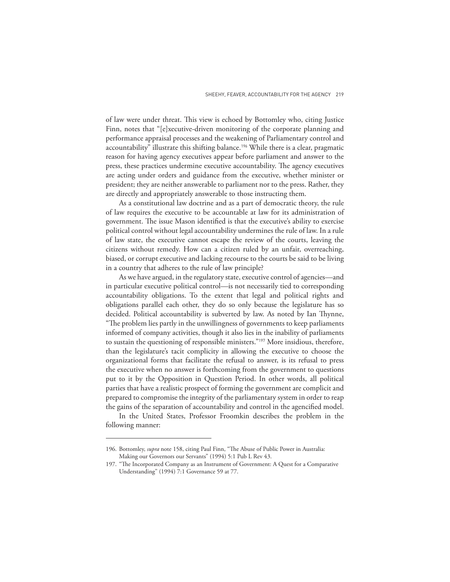of law were under threat. This view is echoed by Bottomley who, citing Justice Finn, notes that "[e]xecutive-driven monitoring of the corporate planning and performance appraisal processes and the weakening of Parliamentary control and accountability" illustrate this shifting balance.<sup>196</sup> While there is a clear, pragmatic reason for having agency executives appear before parliament and answer to the press, these practices undermine executive accountability. The agency executives are acting under orders and guidance from the executive, whether minister or president; they are neither answerable to parliament nor to the press. Rather, they are directly and appropriately answerable to those instructing them.

As a constitutional law doctrine and as a part of democratic theory, the rule of law requires the executive to be accountable at law for its administration of government. The issue Mason identified is that the executive's ability to exercise political control without legal accountability undermines the rule of law. In a rule of law state, the executive cannot escape the review of the courts, leaving the citizens without remedy. How can a citizen ruled by an unfair, overreaching, biased, or corrupt executive and lacking recourse to the courts be said to be living in a country that adheres to the rule of law principle?

As we have argued, in the regulatory state, executive control of agencies—and in particular executive political control—is not necessarily tied to corresponding accountability obligations. To the extent that legal and political rights and obligations parallel each other, they do so only because the legislature has so decided. Political accountability is subverted by law. As noted by Ian Thynne, "The problem lies partly in the unwillingness of governments to keep parliaments informed of company activities, though it also lies in the inability of parliaments to sustain the questioning of responsible ministers."<sup>197</sup> More insidious, therefore, than the legislature's tacit complicity in allowing the executive to choose the organizational forms that facilitate the refusal to answer, is its refusal to press the executive when no answer is forthcoming from the government to questions put to it by the Opposition in Question Period. In other words, all political parties that have a realistic prospect of forming the government are complicit and prepared to compromise the integrity of the parliamentary system in order to reap the gains of the separation of accountability and control in the agencified model.

In the United States, Professor Froomkin describes the problem in the following manner:

<sup>196.</sup> Bottomley, *supra* note 158, citing Paul Finn, "The Abuse of Public Power in Australia: Making our Governors our Servants" (1994) 5:1 Pub L Rev 43.

<sup>197.</sup> "The Incorporated Company as an Instrument of Government: A Quest for a Comparative Understanding" (1994) 7:1 Governance 59 at 77.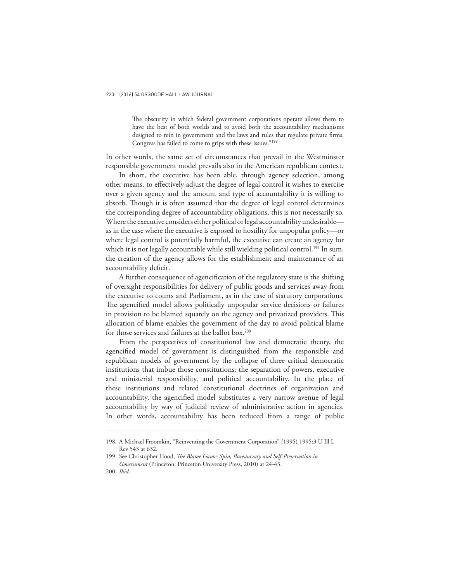The obscurity in which federal government corporations operate allows them to have the best of both worlds and to avoid both the accountability mechanisms designed to rein in government and the laws and rules that regulate private firms. Congress has failed to come to grips with these issues."<sup>198</sup>

In other words, the same set of circumstances that prevail in the Westminster responsible government model prevails also in the American republican context.

In short, the executive has been able, through agency selection, among other means, to effectively adjust the degree of legal control it wishes to exercise over a given agency and the amount and type of accountability it is willing to absorb. Though it is often assumed that the degree of legal control determines the corresponding degree of accountability obligations, this is not necessarily so. Where the executive considers either political or legal accountability undesirable as in the case where the executive is exposed to hostility for unpopular policy—or where legal control is potentially harmful, the executive can create an agency for which it is not legally accountable while still wielding political control.<sup>199</sup> In sum, the creation of the agency allows for the establishment and maintenance of an accountability deficit.

A further consequence of agencification of the regulatory state is the shifting of oversight responsibilities for delivery of public goods and services away from the executive to courts and Parliament, as in the case of statutory corporations. The agencified model allows politically unpopular service decisions or failures in provision to be blamed squarely on the agency and privatized providers. This allocation of blame enables the government of the day to avoid political blame for those services and failures at the ballot box.<sup>200</sup>

From the perspectives of constitutional law and democratic theory, the agencified model of government is distinguished from the responsible and republican models of government by the collapse of three critical democratic institutions that imbue those constitutions: the separation of powers, executive and ministerial responsibility, and political accountability. In the place of these institutions and related constitutional doctrines of organization and accountability, the agencified model substitutes a very narrow avenue of legal accountability by way of judicial review of administrative action in agencies. In other words, accountability has been reduced from a range of public

<sup>198.</sup> A Michael Froomkin, "Reinventing the Government Corporation" (1995) 1995:3 U Ill L Rev 543 at 632.

<sup>199.</sup> See Christopher Hood, *The Blame Game: Spin, Bureaucracy and Self-Preservation in Government* (Princeton: Princeton University Press, 2010) at 24-43.

<sup>200.</sup> *Ibid*.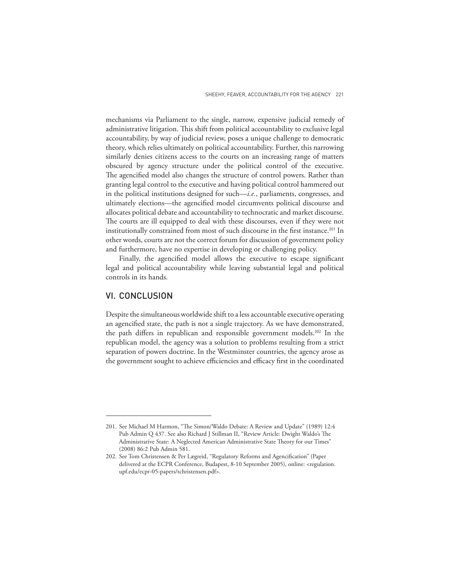mechanisms via Parliament to the single, narrow, expensive judicial remedy of administrative litigation. This shift from political accountability to exclusive legal accountability, by way of judicial review, poses a unique challenge to democratic theory, which relies ultimately on political accountability. Further, this narrowing similarly denies citizens access to the courts on an increasing range of matters obscured by agency structure under the political control of the executive. The agencified model also changes the structure of control powers. Rather than granting legal control to the executive and having political control hammered out in the political institutions designed for such—*i.e.*, parliaments, congresses, and ultimately elections—the agencified model circumvents political discourse and allocates political debate and accountability to technocratic and market discourse. The courts are ill equipped to deal with these discourses, even if they were not institutionally constrained from most of such discourse in the first instance.<sup>201</sup> In other words, courts are not the correct forum for discussion of government policy and furthermore, have no expertise in developing or challenging policy.

Finally, the agencified model allows the executive to escape significant legal and political accountability while leaving substantial legal and political controls in its hands.

# VI. CONCLUSION

Despite the simultaneous worldwide shift to a less accountable executive operating an agencified state, the path is not a single trajectory. As we have demonstrated, the path differs in republican and responsible government models.<sup>202</sup> In the republican model, the agency was a solution to problems resulting from a strict separation of powers doctrine. In the Westminster countries, the agency arose as the government sought to achieve efficiencies and efficacy first in the coordinated

<sup>201.</sup> See Michael M Harmon, "The Simon/Waldo Debate: A Review and Update" (1989) 12:4 Pub Admin Q 437. See also Richard J Stillman II, "Review Article: Dwight Waldo's The Administrative State: A Neglected American Administrative State Theory for our Times" (2008) 86:2 Pub Admin 581.

<sup>202.</sup> See Tom Christensen & Per Lægreid, "Regulatory Reforms and Agencification" (Paper delivered at the ECPR Conference, Budapest, 8-10 September 2005), online: <regulation. upf.edu/ecpr-05-papers/tchristensen.pdf>.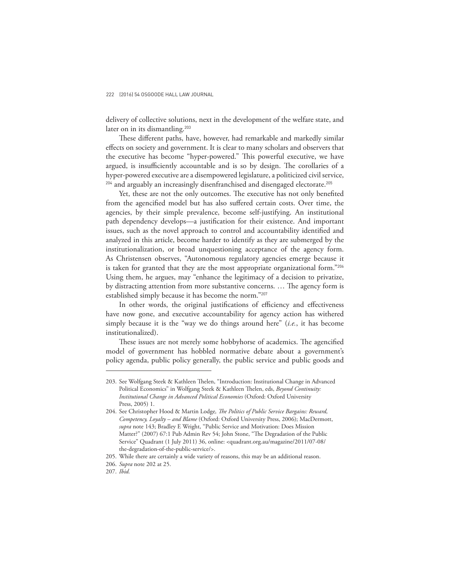delivery of collective solutions, next in the development of the welfare state, and later on in its dismantling.<sup>203</sup>

These different paths, have, however, had remarkable and markedly similar effects on society and government. It is clear to many scholars and observers that the executive has become "hyper-powered." This powerful executive, we have argued, is insufficiently accountable and is so by design. The corollaries of a hyper-powered executive are a disempowered legislature, a politicized civil service, <sup>204</sup> and arguably an increasingly disenfranchised and disengaged electorate.<sup>205</sup>

Yet, these are not the only outcomes. The executive has not only benefited from the agencified model but has also suffered certain costs. Over time, the agencies, by their simple prevalence, become self-justifying. An institutional path dependency develops—a justification for their existence. And important issues, such as the novel approach to control and accountability identified and analyzed in this article, become harder to identify as they are submerged by the institutionalization, or broad unquestioning acceptance of the agency form. As Christensen observes, "Autonomous regulatory agencies emerge because it is taken for granted that they are the most appropriate organizational form."206 Using them, he argues, may "enhance the legitimacy of a decision to privatize, by distracting attention from more substantive concerns. … The agency form is established simply because it has become the norm."<sup>207</sup>

In other words, the original justifications of efficiency and effectiveness have now gone, and executive accountability for agency action has withered simply because it is the "way we do things around here" (*i.e.*, it has become institutionalized).

These issues are not merely some hobbyhorse of academics. The agencified model of government has hobbled normative debate about a government's policy agenda, public policy generally, the public service and public goods and

<sup>203.</sup> See Wolfgang Steek & Kathleen Thelen, "Introduction: Institutional Change in Advanced Political Economics" in Wolfgang Steek & Kathleen Thelen, eds, *Beyond Continuity: Institutional Change in Advanced Political Economies* (Oxford: Oxford University Press, 2005) 1.

<sup>204.</sup> See Christopher Hood & Martin Lodge*, The Politics of Public Service Bargains: Reward, Competency, Loyalty – and Blame* (Oxford: Oxford University Press, 2006); MacDermott, *supra* note 143; Bradley E Wright, "Public Service and Motivation: Does Mission Matter?" (2007) 67:1 Pub Admin Rev 54; John Stone, "The Degradation of the Public Service" Quadrant (1 July 2011) 36, online: <quadrant.org.au/magazine/2011/07-08/ the-degradation-of-the-public-service/>.

<sup>205.</sup> While there are certainly a wide variety of reasons, this may be an additional reason.

<sup>206.</sup> *Supra* note 202 at 25.

<sup>207.</sup> *Ibid.*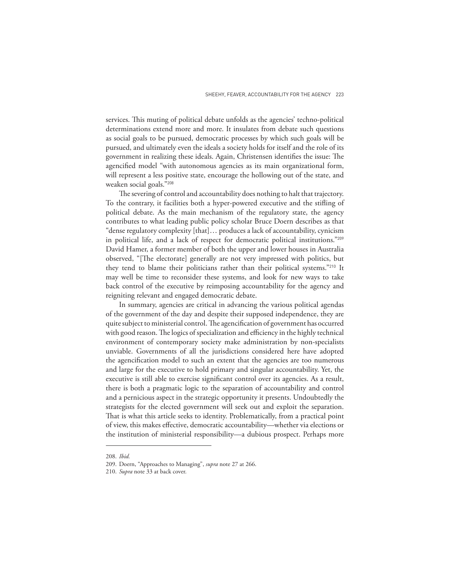services. This muting of political debate unfolds as the agencies' techno-political determinations extend more and more. It insulates from debate such questions as social goals to be pursued, democratic processes by which such goals will be pursued, and ultimately even the ideals a society holds for itself and the role of its government in realizing these ideals. Again, Christensen identifies the issue: The agencified model "with autonomous agencies as its main organizational form, will represent a less positive state, encourage the hollowing out of the state, and weaken social goals."<sup>208</sup>

The severing of control and accountability does nothing to halt that trajectory. To the contrary, it facilities both a hyper-powered executive and the stifling of political debate. As the main mechanism of the regulatory state, the agency contributes to what leading public policy scholar Bruce Doern describes as that "dense regulatory complexity [that]… produces a lack of accountability, cynicism in political life, and a lack of respect for democratic political institutions."<sup>209</sup> David Hamer, a former member of both the upper and lower houses in Australia observed, "[The electorate] generally are not very impressed with politics, but they tend to blame their politicians rather than their political systems."<sup>210</sup> It may well be time to reconsider these systems, and look for new ways to take back control of the executive by reimposing accountability for the agency and reigniting relevant and engaged democratic debate.

In summary, agencies are critical in advancing the various political agendas of the government of the day and despite their supposed independence, they are quite subject to ministerial control. The agencification of government has occurred with good reason. The logics of specialization and efficiency in the highly technical environment of contemporary society make administration by non-specialists unviable. Governments of all the jurisdictions considered here have adopted the agencification model to such an extent that the agencies are too numerous and large for the executive to hold primary and singular accountability. Yet, the executive is still able to exercise significant control over its agencies. As a result, there is both a pragmatic logic to the separation of accountability and control and a pernicious aspect in the strategic opportunity it presents. Undoubtedly the strategists for the elected government will seek out and exploit the separation. That is what this article seeks to identity. Problematically, from a practical point of view, this makes effective, democratic accountability—whether via elections or the institution of ministerial responsibility—a dubious prospect. Perhaps more

<sup>208.</sup> *Ibid.*

<sup>209.</sup> Doern, "Approaches to Managing", *supra* note 27 at 266.

<sup>210.</sup> *Supra* note 33 at back cover.